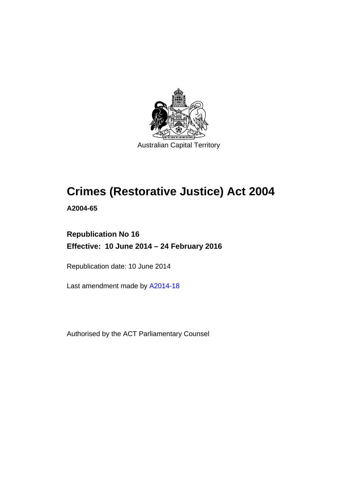

# **Crimes (Restorative Justice) Act 2004**

**A2004-65** 

# **Republication No 16 Effective: 10 June 2014 – 24 February 2016**

Republication date: 10 June 2014

Last amendment made by [A2014-18](http://www.legislation.act.gov.au/a/2014-18)

Authorised by the ACT Parliamentary Counsel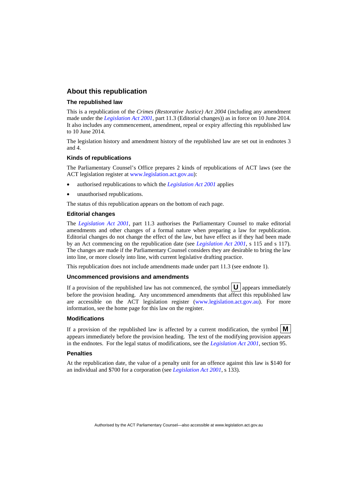## **About this republication**

#### **The republished law**

This is a republication of the *Crimes (Restorative Justice) Act 2004* (including any amendment made under the *[Legislation Act 2001](http://www.legislation.act.gov.au/a/2001-14)*, part 11.3 (Editorial changes)) as in force on 10 June 2014*.*  It also includes any commencement, amendment, repeal or expiry affecting this republished law to 10 June 2014.

The legislation history and amendment history of the republished law are set out in endnotes 3 and 4.

#### **Kinds of republications**

The Parliamentary Counsel's Office prepares 2 kinds of republications of ACT laws (see the ACT legislation register at [www.legislation.act.gov.au](http://www.legislation.act.gov.au/)):

- authorised republications to which the *[Legislation Act 2001](http://www.legislation.act.gov.au/a/2001-14)* applies
- unauthorised republications.

The status of this republication appears on the bottom of each page.

#### **Editorial changes**

The *[Legislation Act 2001](http://www.legislation.act.gov.au/a/2001-14)*, part 11.3 authorises the Parliamentary Counsel to make editorial amendments and other changes of a formal nature when preparing a law for republication. Editorial changes do not change the effect of the law, but have effect as if they had been made by an Act commencing on the republication date (see *[Legislation Act 2001](http://www.legislation.act.gov.au/a/2001-14)*, s 115 and s 117). The changes are made if the Parliamentary Counsel considers they are desirable to bring the law into line, or more closely into line, with current legislative drafting practice.

This republication does not include amendments made under part 11.3 (see endnote 1).

#### **Uncommenced provisions and amendments**

If a provision of the republished law has not commenced, the symbol  $\mathbf{U}$  appears immediately before the provision heading. Any uncommenced amendments that affect this republished law are accessible on the ACT legislation register [\(www.legislation.act.gov.au\)](http://www.legislation.act.gov.au/). For more information, see the home page for this law on the register.

#### **Modifications**

If a provision of the republished law is affected by a current modification, the symbol  $\mathbf{M}$ appears immediately before the provision heading. The text of the modifying provision appears in the endnotes. For the legal status of modifications, see the *[Legislation Act 2001](http://www.legislation.act.gov.au/a/2001-14)*, section 95.

#### **Penalties**

At the republication date, the value of a penalty unit for an offence against this law is \$140 for an individual and \$700 for a corporation (see *[Legislation Act 2001](http://www.legislation.act.gov.au/a/2001-14)*, s 133).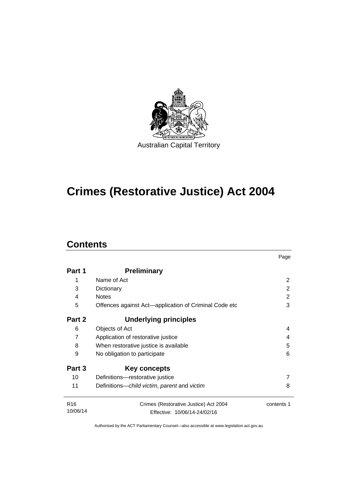

# **Crimes (Restorative Justice) Act 2004**

# **Contents**

|                              |                                                       | Page       |  |  |
|------------------------------|-------------------------------------------------------|------------|--|--|
| Part 1                       | <b>Preliminary</b>                                    |            |  |  |
| 1                            | Name of Act                                           | 2          |  |  |
| 3                            | Dictionary                                            | 2          |  |  |
| 4                            | <b>Notes</b>                                          | 2          |  |  |
| 5                            | Offences against Act-application of Criminal Code etc | 3          |  |  |
| Part 2                       | <b>Underlying principles</b>                          |            |  |  |
| 6                            | Objects of Act                                        | 4          |  |  |
| 7                            | Application of restorative justice                    | 4          |  |  |
| 8                            | 5<br>When restorative justice is available            |            |  |  |
| 9                            | No obligation to participate                          |            |  |  |
| Part 3                       | <b>Key concepts</b>                                   |            |  |  |
| 10                           | Definitions-restorative justice                       |            |  |  |
| 11                           | Definitions-child victim, parent and victim           | 8          |  |  |
| R <sub>16</sub><br>10/06/14  | Crimes (Restorative Justice) Act 2004                 | contents 1 |  |  |
| Effective: 10/06/14-24/02/16 |                                                       |            |  |  |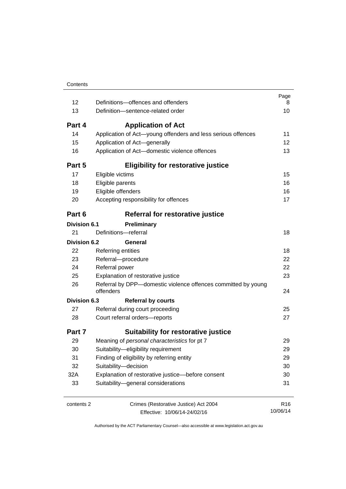| 12                  | Definitions-offences and offenders                                         | Page<br>8       |
|---------------------|----------------------------------------------------------------------------|-----------------|
| 13                  | Definition-sentence-related order                                          | 10              |
| Part 4              | <b>Application of Act</b>                                                  |                 |
| 14                  | Application of Act-young offenders and less serious offences               | 11              |
| 15                  | Application of Act-generally                                               | 12              |
| 16                  | Application of Act-domestic violence offences                              | 13              |
| Part 5              | <b>Eligibility for restorative justice</b>                                 |                 |
| 17                  | Eligible victims                                                           | 15              |
| 18                  | Eligible parents                                                           | 16              |
| 19                  | Eligible offenders                                                         | 16              |
| 20                  | Accepting responsibility for offences                                      | 17              |
| Part 6              | Referral for restorative justice                                           |                 |
| <b>Division 6.1</b> | <b>Preliminary</b>                                                         |                 |
| 21                  | Definitions-referral                                                       | 18              |
| <b>Division 6.2</b> | General                                                                    |                 |
| 22                  | Referring entities                                                         | 18              |
| 23                  | Referral-procedure                                                         | 22              |
| 24                  | Referral power                                                             | 22              |
| 25                  | Explanation of restorative justice                                         | 23              |
| 26                  | Referral by DPP-domestic violence offences committed by young<br>offenders | 24              |
| <b>Division 6.3</b> | <b>Referral by courts</b>                                                  |                 |
| 27                  | Referral during court proceeding                                           | 25              |
| 28                  | Court referral orders-reports                                              | 27              |
| Part 7              | <b>Suitability for restorative justice</b>                                 |                 |
| 29                  | Meaning of personal characteristics for pt 7                               | 29              |
| 30                  | Suitability-eligibility requirement                                        | 29              |
| 31                  | Finding of eligibility by referring entity                                 | 29              |
| 32                  | Suitability-decision                                                       | 30              |
| 32A                 | Explanation of restorative justice-before consent                          |                 |
| 33                  | Suitability-general considerations                                         | 31              |
| contents 2          | Crimes (Restorative Justice) Act 2004                                      | R <sub>16</sub> |
|                     | Effective: 10/06/14-24/02/16                                               | 10/06/14        |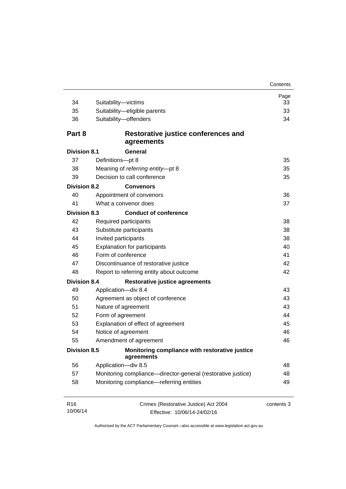| 34                          | Suitability-victims                                                   | Page<br>33 |  |  |
|-----------------------------|-----------------------------------------------------------------------|------------|--|--|
| 35                          | Suitability-eligible parents                                          | 33         |  |  |
| 36                          | Suitability-offenders                                                 | 34         |  |  |
| Part 8                      | Restorative justice conferences and<br>agreements                     |            |  |  |
| <b>Division 8.1</b>         | General                                                               |            |  |  |
| 37                          | Definitions-pt 8                                                      | 35         |  |  |
| 38                          | Meaning of referring entity-pt 8                                      | 35         |  |  |
| 39                          | Decision to call conference                                           | 35         |  |  |
| <b>Division 8.2</b>         | <b>Convenors</b>                                                      |            |  |  |
| 40                          | Appointment of convenors                                              | 36         |  |  |
| 41                          | What a convenor does                                                  | 37         |  |  |
| <b>Division 8.3</b>         | <b>Conduct of conference</b>                                          |            |  |  |
| 42                          | Required participants                                                 | 38         |  |  |
| 43                          | Substitute participants                                               | 38         |  |  |
| 44                          | Invited participants                                                  |            |  |  |
| 45                          | <b>Explanation for participants</b>                                   |            |  |  |
| 46                          | Form of conference                                                    |            |  |  |
| 47                          | Discontinuance of restorative justice                                 | 42         |  |  |
| 48                          | Report to referring entity about outcome                              | 42         |  |  |
| <b>Division 8.4</b>         | <b>Restorative justice agreements</b>                                 |            |  |  |
| 49                          | Application-div 8.4                                                   | 43         |  |  |
| 50                          | Agreement as object of conference                                     | 43         |  |  |
| 51                          | Nature of agreement                                                   | 43         |  |  |
| 52                          | Form of agreement                                                     | 44         |  |  |
| 53                          | Explanation of effect of agreement                                    | 45         |  |  |
| 54                          | Notice of agreement                                                   | 46         |  |  |
| 55                          | Amendment of agreement                                                | 46         |  |  |
| <b>Division 8.5</b>         | Monitoring compliance with restorative justice<br>agreements          |            |  |  |
| 56                          | Application-div 8.5                                                   | 48         |  |  |
| 57                          | Monitoring compliance—director-general (restorative justice)          | 48         |  |  |
| 58                          | Monitoring compliance-referring entities                              | 49         |  |  |
| R <sub>16</sub><br>10/06/14 | Crimes (Restorative Justice) Act 2004<br>Effective: 10/06/14-24/02/16 | contents 3 |  |  |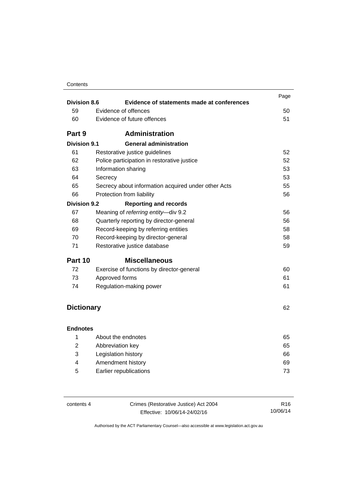| Contents |  |
|----------|--|
|----------|--|

| <b>Division 8.6</b> | Evidence of statements made at conferences          | Page |  |  |
|---------------------|-----------------------------------------------------|------|--|--|
| 59                  | Evidence of offences                                | 50   |  |  |
| 60                  | Evidence of future offences                         |      |  |  |
|                     |                                                     | 51   |  |  |
| Part 9              | <b>Administration</b>                               |      |  |  |
| <b>Division 9.1</b> | <b>General administration</b>                       |      |  |  |
| 61                  | Restorative justice guidelines                      | 52   |  |  |
| 62                  | Police participation in restorative justice         | 52   |  |  |
| 63                  | Information sharing                                 | 53   |  |  |
| 64                  | Secrecy                                             | 53   |  |  |
| 65                  | Secrecy about information acquired under other Acts | 55   |  |  |
| 66                  | Protection from liability                           | 56   |  |  |
| <b>Division 9.2</b> | <b>Reporting and records</b>                        |      |  |  |
| 67                  | Meaning of referring entity-div 9.2                 | 56   |  |  |
| 68                  | Quarterly reporting by director-general<br>56       |      |  |  |
| 69                  | Record-keeping by referring entities                | 58   |  |  |
| 70                  | 58<br>Record-keeping by director-general            |      |  |  |
| 71                  | 59<br>Restorative justice database                  |      |  |  |
| Part 10             | <b>Miscellaneous</b>                                |      |  |  |
| 72                  | Exercise of functions by director-general           | 60   |  |  |
| 73                  | Approved forms                                      |      |  |  |
| 74                  | Regulation-making power                             | 61   |  |  |
|                     |                                                     |      |  |  |
| <b>Dictionary</b>   |                                                     | 62   |  |  |
|                     |                                                     |      |  |  |
| <b>Endnotes</b>     |                                                     |      |  |  |
| 1                   | About the endnotes                                  | 65   |  |  |
| $\overline{2}$      | Abbreviation key                                    | 65   |  |  |
| 3                   | Legislation history                                 | 66   |  |  |
| 4                   | Amendment history<br>69                             |      |  |  |
| 5                   | Earlier republications<br>73                        |      |  |  |

| contents 4 | Crimes (Restorative Justice) Act 2004 |          |
|------------|---------------------------------------|----------|
|            | Effective: 10/06/14-24/02/16          | 10/06/14 |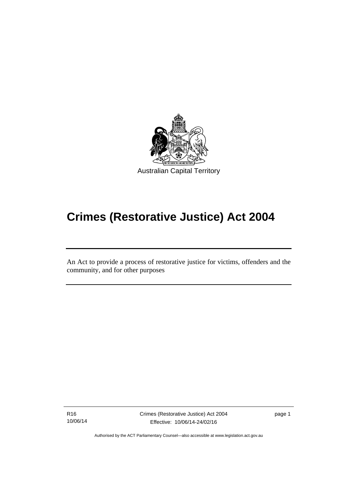

# **Crimes (Restorative Justice) Act 2004**

An Act to provide a process of restorative justice for victims, offenders and the community, and for other purposes

R16 10/06/14

l

Crimes (Restorative Justice) Act 2004 Effective: 10/06/14-24/02/16

page 1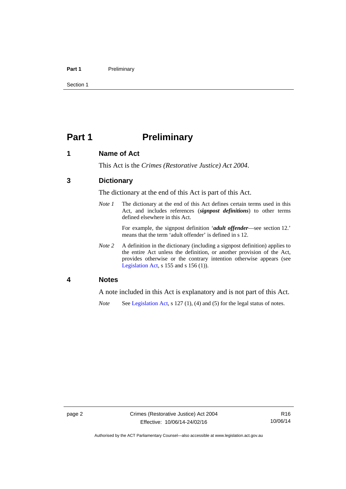#### Part 1 **Preliminary**

Section 1

# <span id="page-7-0"></span>**Part 1** Preliminary

# <span id="page-7-1"></span>**1 Name of Act**

This Act is the *Crimes (Restorative Justice) Act 2004*.

# <span id="page-7-2"></span>**3 Dictionary**

The dictionary at the end of this Act is part of this Act.

*Note 1* The dictionary at the end of this Act defines certain terms used in this Act, and includes references (*signpost definitions*) to other terms defined elsewhere in this Act.

> For example, the signpost definition '*adult offender*—see section 12.' means that the term 'adult offender' is defined in s 12.

*Note 2* A definition in the dictionary (including a signpost definition) applies to the entire Act unless the definition, or another provision of the Act, provides otherwise or the contrary intention otherwise appears (see [Legislation Act,](http://www.legislation.act.gov.au/a/2001-14) s  $155$  and s  $156$  (1)).

### <span id="page-7-3"></span>**4 Notes**

A note included in this Act is explanatory and is not part of this Act.

*Note* See [Legislation Act,](http://www.legislation.act.gov.au/a/2001-14) s 127 (1), (4) and (5) for the legal status of notes.

Authorised by the ACT Parliamentary Counsel—also accessible at www.legislation.act.gov.au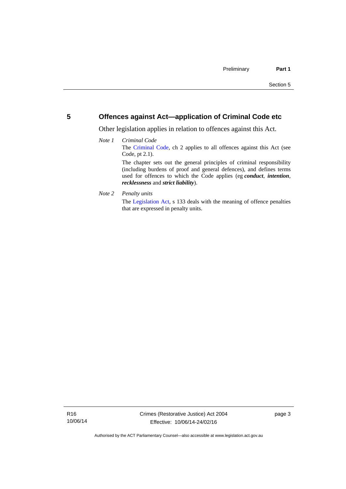# <span id="page-8-0"></span>**5 Offences against Act—application of Criminal Code etc**

Other legislation applies in relation to offences against this Act.

#### *Note 1 Criminal Code* The [Criminal Code](http://www.legislation.act.gov.au/a/2002-51), ch 2 applies to all offences against this Act (see Code, pt 2.1). The chapter sets out the general principles of criminal responsibility (including burdens of proof and general defences), and defines terms used for offences to which the Code applies (eg *conduct*, *intention*, *recklessness* and *strict liability*).

*Note 2 Penalty units* 

The [Legislation Act](http://www.legislation.act.gov.au/a/2001-14), s 133 deals with the meaning of offence penalties that are expressed in penalty units.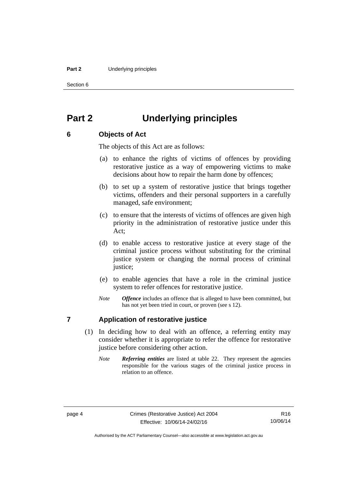#### **Part 2** Underlying principles

Section 6

# <span id="page-9-0"></span>**Part 2 Underlying principles**

# <span id="page-9-1"></span>**6 Objects of Act**

The objects of this Act are as follows:

- (a) to enhance the rights of victims of offences by providing restorative justice as a way of empowering victims to make decisions about how to repair the harm done by offences;
- (b) to set up a system of restorative justice that brings together victims, offenders and their personal supporters in a carefully managed, safe environment;
- (c) to ensure that the interests of victims of offences are given high priority in the administration of restorative justice under this Act;
- (d) to enable access to restorative justice at every stage of the criminal justice process without substituting for the criminal justice system or changing the normal process of criminal justice:
- (e) to enable agencies that have a role in the criminal justice system to refer offences for restorative justice.
- *Note Offence* includes an offence that is alleged to have been committed, but has not yet been tried in court, or proven (see s 12).

# <span id="page-9-2"></span>**7 Application of restorative justice**

- (1) In deciding how to deal with an offence, a referring entity may consider whether it is appropriate to refer the offence for restorative justice before considering other action.
	- *Note Referring entities* are listed at table 22. They represent the agencies responsible for the various stages of the criminal justice process in relation to an offence.

Authorised by the ACT Parliamentary Counsel—also accessible at www.legislation.act.gov.au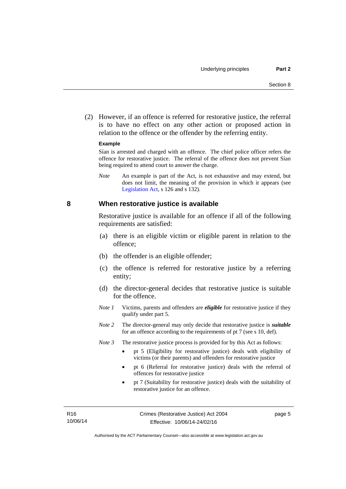(2) However, if an offence is referred for restorative justice, the referral is to have no effect on any other action or proposed action in relation to the offence or the offender by the referring entity.

#### **Example**

Sían is arrested and charged with an offence. The chief police officer refers the offence for restorative justice. The referral of the offence does not prevent Sían being required to attend court to answer the charge.

*Note* An example is part of the Act, is not exhaustive and may extend, but does not limit, the meaning of the provision in which it appears (see [Legislation Act,](http://www.legislation.act.gov.au/a/2001-14) s 126 and s 132).

#### <span id="page-10-0"></span>**8 When restorative justice is available**

Restorative justice is available for an offence if all of the following requirements are satisfied:

- (a) there is an eligible victim or eligible parent in relation to the offence;
- (b) the offender is an eligible offender;
- (c) the offence is referred for restorative justice by a referring entity;
- (d) the director-general decides that restorative justice is suitable for the offence.
- *Note 1* Victims, parents and offenders are *eligible* for restorative justice if they qualify under part 5.
- *Note 2* The director-general may only decide that restorative justice is *suitable*  for an offence according to the requirements of pt 7 (see s 10, def).
- *Note 3* The restorative justice process is provided for by this Act as follows:
	- pt 5 (Eligibility for restorative justice) deals with eligibility of victims (or their parents) and offenders for restorative justice
	- pt 6 (Referral for restorative justice) deals with the referral of offences for restorative justice
	- pt 7 (Suitability for restorative justice) deals with the suitability of restorative justice for an offence.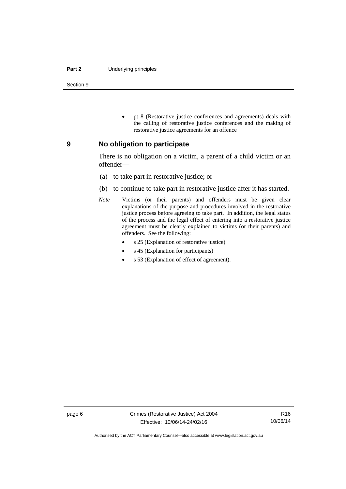#### **Part 2** Underlying principles

Section 9

 pt 8 (Restorative justice conferences and agreements) deals with the calling of restorative justice conferences and the making of restorative justice agreements for an offence

#### <span id="page-11-0"></span>**9 No obligation to participate**

There is no obligation on a victim, a parent of a child victim or an offender—

- (a) to take part in restorative justice; or
- (b) to continue to take part in restorative justice after it has started.
- *Note* Victims (or their parents) and offenders must be given clear explanations of the purpose and procedures involved in the restorative justice process before agreeing to take part. In addition, the legal status of the process and the legal effect of entering into a restorative justice agreement must be clearly explained to victims (or their parents) and offenders. See the following:
	- s 25 (Explanation of restorative justice)
	- s 45 (Explanation for participants)
	- s 53 (Explanation of effect of agreement).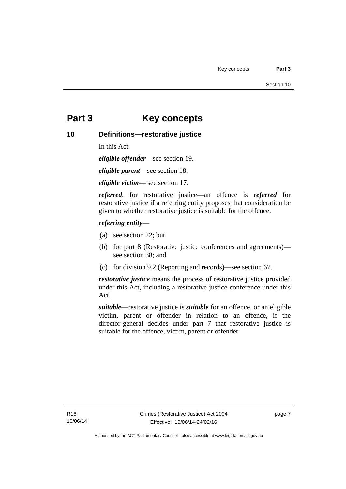# <span id="page-12-0"></span>**Part 3 Key concepts**

# <span id="page-12-1"></span>**10 Definitions—restorative justice**

In this Act:

*eligible offender*—see section 19.

*eligible parent*—see section 18.

*eligible victim*— see section 17.

*referred*, for restorative justice—an offence is *referred* for restorative justice if a referring entity proposes that consideration be given to whether restorative justice is suitable for the offence.

## *referring entity*—

- (a) see section 22; but
- (b) for part 8 (Restorative justice conferences and agreements) see section 38; and
- (c) for division 9.2 (Reporting and records)—see section 67.

*restorative justice* means the process of restorative justice provided under this Act, including a restorative justice conference under this Act.

*suitable*—restorative justice is *suitable* for an offence, or an eligible victim, parent or offender in relation to an offence, if the director-general decides under part 7 that restorative justice is suitable for the offence, victim, parent or offender.

page 7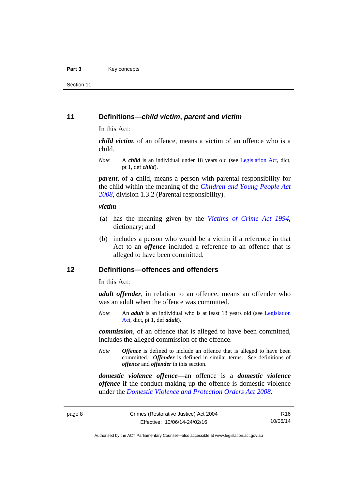Section 11

## <span id="page-13-0"></span>**11 Definitions—***child victim***,** *parent* **and** *victim*

In this Act:

*child victim*, of an offence, means a victim of an offence who is a child.

*Note* A *child* is an individual under 18 years old (see [Legislation Act,](http://www.legislation.act.gov.au/a/2001-14) dict, pt 1, def *child*).

*parent*, of a child, means a person with parental responsibility for the child within the meaning of the *[Children and Young People Act](http://www.legislation.act.gov.au/a/2008-19)  [2008](http://www.legislation.act.gov.au/a/2008-19)*, division 1.3.2 (Parental responsibility).

#### *victim*—

- (a) has the meaning given by the *[Victims of Crime Act 1994](http://www.legislation.act.gov.au/a/1994-83)*, dictionary; and
- (b) includes a person who would be a victim if a reference in that Act to an *offence* included a reference to an offence that is alleged to have been committed.

# <span id="page-13-1"></span>**12 Definitions—offences and offenders**

In this Act:

*adult offender*, in relation to an offence, means an offender who was an adult when the offence was committed.

*Note* An *adult* is an individual who is at least 18 years old (see [Legislation](http://www.legislation.act.gov.au/a/2001-14)  [Act](http://www.legislation.act.gov.au/a/2001-14), dict, pt 1, def *adult*).

*commission*, of an offence that is alleged to have been committed, includes the alleged commission of the offence.

*Note Offence* is defined to include an offence that is alleged to have been committed. *Offender* is defined in similar terms. See definitions of *offence* and *offender* in this section.

*domestic violence offence*—an offence is a *domestic violence offence* if the conduct making up the offence is domestic violence under the *[Domestic Violence and Protection Orders Act 2008](http://www.legislation.act.gov.au/a/2008-46)*.

R16 10/06/14

Authorised by the ACT Parliamentary Counsel—also accessible at www.legislation.act.gov.au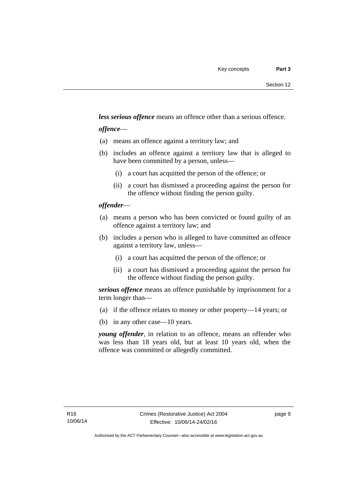*less serious offence* means an offence other than a serious offence.

## *offence*—

- (a) means an offence against a territory law; and
- (b) includes an offence against a territory law that is alleged to have been committed by a person, unless—
	- (i) a court has acquitted the person of the offence; or
	- (ii) a court has dismissed a proceeding against the person for the offence without finding the person guilty.

## *offender*—

- (a) means a person who has been convicted or found guilty of an offence against a territory law; and
- (b) includes a person who is alleged to have committed an offence against a territory law, unless—
	- (i) a court has acquitted the person of the offence; or
	- (ii) a court has dismissed a proceeding against the person for the offence without finding the person guilty.

*serious offence* means an offence punishable by imprisonment for a term longer than—

- (a) if the offence relates to money or other property—14 years; or
- (b) in any other case—10 years.

*young offender*, in relation to an offence, means an offender who was less than 18 years old, but at least 10 years old, when the offence was committed or allegedly committed.

page 9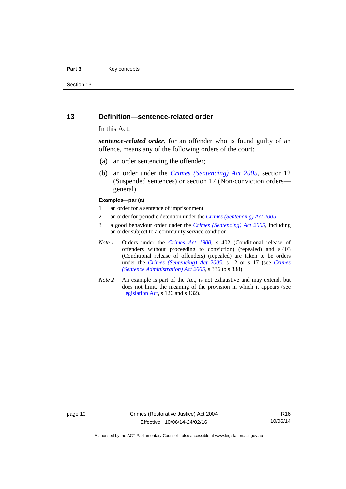#### Part 3 **Key concepts**

Section 13

### <span id="page-15-0"></span>**13 Definition—sentence-related order**

#### In this Act:

*sentence-related order*, for an offender who is found guilty of an offence, means any of the following orders of the court:

- (a) an order sentencing the offender;
- (b) an order under the *[Crimes \(Sentencing\) Act 2005](http://www.legislation.act.gov.au/a/2005-58)*, section 12 (Suspended sentences) or section 17 (Non-conviction orders general).

#### **Examples—par (a)**

- 1 an order for a sentence of imprisonment
- 2 an order for periodic detention under the *[Crimes \(Sentencing\) Act 2005](http://www.legislation.act.gov.au/a/2005-58)*
- 3 a good behaviour order under the *[Crimes \(Sentencing\) Act 2005](http://www.legislation.act.gov.au/a/2005-58)*, including an order subject to a community service condition
- *Note 1* Orders under the *[Crimes Act 1900](http://www.legislation.act.gov.au/a/1900-40)*, s 402 (Conditional release of offenders without proceeding to conviction) (repealed) and s 403 (Conditional release of offenders) (repealed) are taken to be orders under the *[Crimes \(Sentencing\) Act 2005](http://www.legislation.act.gov.au/a/2005-58)*, s 12 or s 17 (see *[Crimes](http://www.legislation.act.gov.au/a/2005-59)  [\(Sentence Administration\) Act 2005](http://www.legislation.act.gov.au/a/2005-59)*, s 336 to s 338).
- *Note 2* An example is part of the Act, is not exhaustive and may extend, but does not limit, the meaning of the provision in which it appears (see [Legislation Act,](http://www.legislation.act.gov.au/a/2001-14) s 126 and s 132).

page 10 Crimes (Restorative Justice) Act 2004 Effective: 10/06/14-24/02/16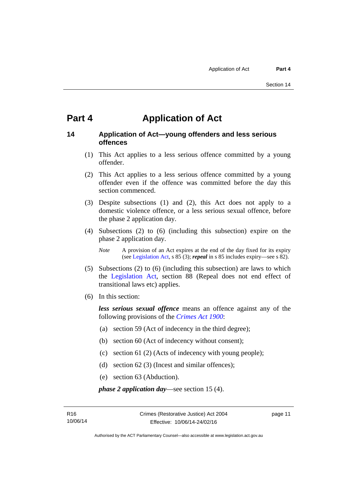# <span id="page-16-0"></span>**Part 4 Application of Act**

# <span id="page-16-1"></span>**14 Application of Act—young offenders and less serious offences**

- (1) This Act applies to a less serious offence committed by a young offender.
- (2) This Act applies to a less serious offence committed by a young offender even if the offence was committed before the day this section commenced.
- (3) Despite subsections (1) and (2), this Act does not apply to a domestic violence offence, or a less serious sexual offence, before the phase 2 application day.
- (4) Subsections (2) to (6) (including this subsection) expire on the phase 2 application day.

*Note* A provision of an Act expires at the end of the day fixed for its expiry (see [Legislation Act,](http://www.legislation.act.gov.au/a/2001-14) s 85 (3); *repeal* in s 85 includes expiry—see s 82).

- (5) Subsections (2) to (6) (including this subsection) are laws to which the [Legislation Act](http://www.legislation.act.gov.au/a/2001-14), section 88 (Repeal does not end effect of transitional laws etc) applies.
- (6) In this section:

*less serious sexual offence* means an offence against any of the following provisions of the *[Crimes Act 1900](http://www.legislation.act.gov.au/a/1900-40)*:

- (a) section 59 (Act of indecency in the third degree);
- (b) section 60 (Act of indecency without consent);
- (c) section 61 (2) (Acts of indecency with young people);
- (d) section 62 (3) (Incest and similar offences);
- (e) section 63 (Abduction).

*phase 2 application day*—see section 15 (4).

page 11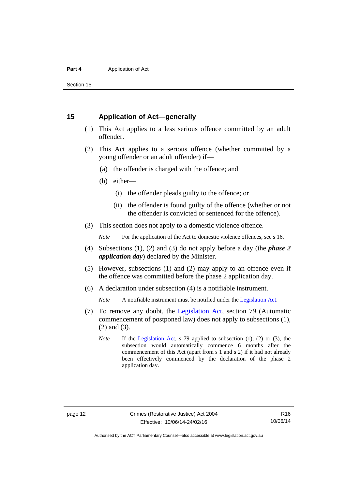Section 15

# <span id="page-17-0"></span>**15 Application of Act—generally**

- (1) This Act applies to a less serious offence committed by an adult offender.
- (2) This Act applies to a serious offence (whether committed by a young offender or an adult offender) if—
	- (a) the offender is charged with the offence; and
	- (b) either—
		- (i) the offender pleads guilty to the offence; or
		- (ii) the offender is found guilty of the offence (whether or not the offender is convicted or sentenced for the offence).
- (3) This section does not apply to a domestic violence offence.

*Note* For the application of the Act to domestic violence offences, see s 16.

- (4) Subsections (1), (2) and (3) do not apply before a day (the *phase 2 application day*) declared by the Minister.
- (5) However, subsections (1) and (2) may apply to an offence even if the offence was committed before the phase 2 application day.
- (6) A declaration under subsection (4) is a notifiable instrument.

*Note* A notifiable instrument must be notified under the [Legislation Act](http://www.legislation.act.gov.au/a/2001-14).

- (7) To remove any doubt, the [Legislation Act](http://www.legislation.act.gov.au/a/2001-14), section 79 (Automatic commencement of postponed law) does not apply to subsections (1), (2) and (3).
	- *Note* If the [Legislation Act](http://www.legislation.act.gov.au/a/2001-14), s 79 applied to subsection (1), (2) or (3), the subsection would automatically commence 6 months after the commencement of this Act (apart from s 1 and s 2) if it had not already been effectively commenced by the declaration of the phase 2 application day.

Authorised by the ACT Parliamentary Counsel—also accessible at www.legislation.act.gov.au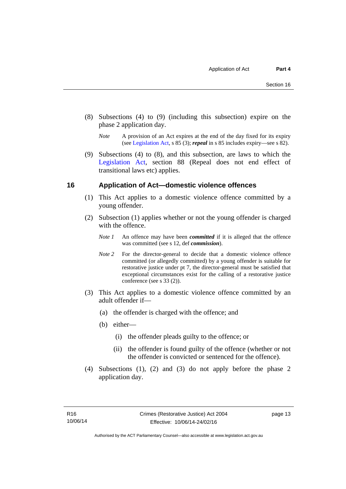- (8) Subsections (4) to (9) (including this subsection) expire on the phase 2 application day.
	- *Note* A provision of an Act expires at the end of the day fixed for its expiry (see [Legislation Act,](http://www.legislation.act.gov.au/a/2001-14) s 85 (3); *repeal* in s 85 includes expiry—see s 82).
- (9) Subsections (4) to (8), and this subsection, are laws to which the [Legislation Act](http://www.legislation.act.gov.au/a/2001-14), section 88 (Repeal does not end effect of transitional laws etc) applies.

## <span id="page-18-0"></span>**16 Application of Act—domestic violence offences**

- (1) This Act applies to a domestic violence offence committed by a young offender.
- (2) Subsection (1) applies whether or not the young offender is charged with the offence.
	- *Note 1* An offence may have been *committed* if it is alleged that the offence was committed (see s 12, def *commission*).
	- *Note* 2 For the director-general to decide that a domestic violence offence committed (or allegedly committed) by a young offender is suitable for restorative justice under pt 7, the director-general must be satisfied that exceptional circumstances exist for the calling of a restorative justice conference (see s 33 (2)).
- (3) This Act applies to a domestic violence offence committed by an adult offender if—
	- (a) the offender is charged with the offence; and
	- (b) either—
		- (i) the offender pleads guilty to the offence; or
		- (ii) the offender is found guilty of the offence (whether or not the offender is convicted or sentenced for the offence).
- (4) Subsections (1), (2) and (3) do not apply before the phase 2 application day.

page 13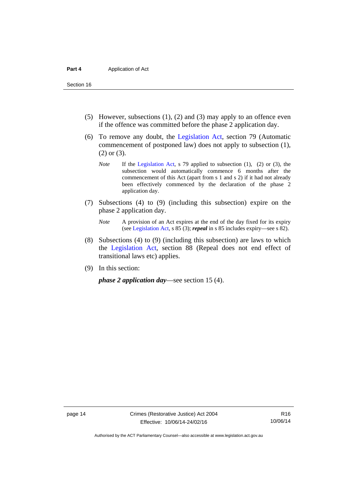Section 16

- (5) However, subsections (1), (2) and (3) may apply to an offence even if the offence was committed before the phase 2 application day.
- (6) To remove any doubt, the [Legislation Act](http://www.legislation.act.gov.au/a/2001-14), section 79 (Automatic commencement of postponed law) does not apply to subsection (1), (2) or (3).
	- *Note* If the [Legislation Act](http://www.legislation.act.gov.au/a/2001-14), s 79 applied to subsection (1), (2) or (3), the subsection would automatically commence 6 months after the commencement of this Act (apart from s 1 and s 2) if it had not already been effectively commenced by the declaration of the phase 2 application day.
- (7) Subsections (4) to (9) (including this subsection) expire on the phase 2 application day.
	- *Note* A provision of an Act expires at the end of the day fixed for its expiry (see [Legislation Act,](http://www.legislation.act.gov.au/a/2001-14) s 85 (3); *repeal* in s 85 includes expiry—see s 82).
- (8) Subsections (4) to (9) (including this subsection) are laws to which the [Legislation Act](http://www.legislation.act.gov.au/a/2001-14), section 88 (Repeal does not end effect of transitional laws etc) applies.
- (9) In this section:

*phase 2 application day*—see section 15 (4).

Authorised by the ACT Parliamentary Counsel—also accessible at www.legislation.act.gov.au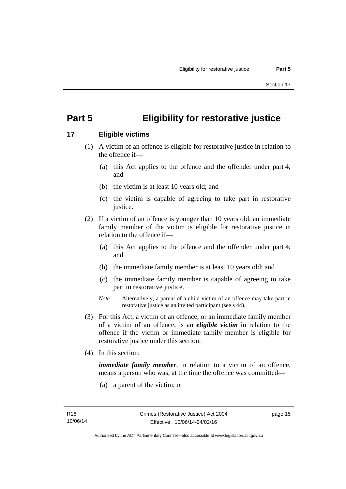# <span id="page-20-0"></span>**Part 5 Eligibility for restorative justice**

# <span id="page-20-1"></span>**17 Eligible victims**

- (1) A victim of an offence is eligible for restorative justice in relation to the offence if—
	- (a) this Act applies to the offence and the offender under part 4; and
	- (b) the victim is at least 10 years old; and
	- (c) the victim is capable of agreeing to take part in restorative justice.
- (2) If a victim of an offence is younger than 10 years old, an immediate family member of the victim is eligible for restorative justice in relation to the offence if—
	- (a) this Act applies to the offence and the offender under part 4; and
	- (b) the immediate family member is at least 10 years old; and
	- (c) the immediate family member is capable of agreeing to take part in restorative justice.
	- *Note* Alternatively, a parent of a child victim of an offence may take part in restorative justice as an invited participant (see s 44).
- (3) For this Act, a victim of an offence, or an immediate family member of a victim of an offence, is an *eligible victim* in relation to the offence if the victim or immediate family member is eligible for restorative justice under this section.
- (4) In this section:

*immediate family member*, in relation to a victim of an offence, means a person who was, at the time the offence was committed—

(a) a parent of the victim; or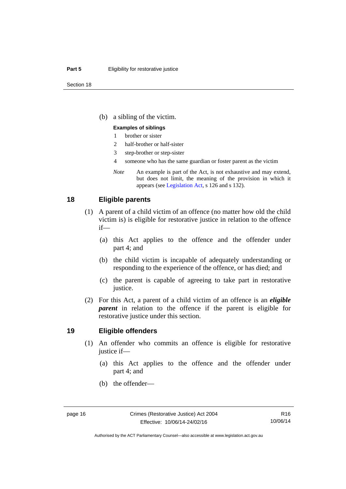#### **Part 5 Eligibility for restorative justice**

(b) a sibling of the victim.

#### **Examples of siblings**

- 1 brother or sister
- 2 half-brother or half-sister
- 3 step-brother or step-sister
- 4 someone who has the same guardian or foster parent as the victim
- *Note* An example is part of the Act, is not exhaustive and may extend, but does not limit, the meaning of the provision in which it appears (see [Legislation Act,](http://www.legislation.act.gov.au/a/2001-14) s 126 and s 132).

#### <span id="page-21-0"></span>**18 Eligible parents**

- (1) A parent of a child victim of an offence (no matter how old the child victim is) is eligible for restorative justice in relation to the offence if—
	- (a) this Act applies to the offence and the offender under part 4; and
	- (b) the child victim is incapable of adequately understanding or responding to the experience of the offence, or has died; and
	- (c) the parent is capable of agreeing to take part in restorative justice.
- (2) For this Act, a parent of a child victim of an offence is an *eligible parent* in relation to the offence if the parent is eligible for restorative justice under this section.

#### <span id="page-21-1"></span>**19 Eligible offenders**

- (1) An offender who commits an offence is eligible for restorative justice if—
	- (a) this Act applies to the offence and the offender under part 4; and
	- (b) the offender—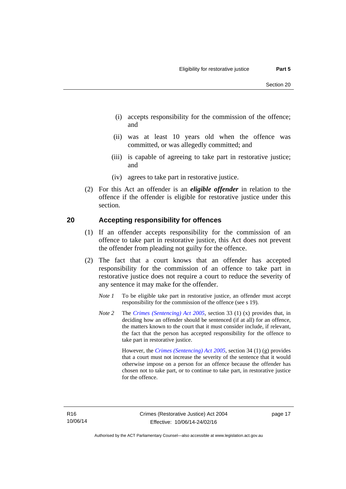- (i) accepts responsibility for the commission of the offence; and
- (ii) was at least 10 years old when the offence was committed, or was allegedly committed; and
- (iii) is capable of agreeing to take part in restorative justice; and
- (iv) agrees to take part in restorative justice.
- (2) For this Act an offender is an *eligible offender* in relation to the offence if the offender is eligible for restorative justice under this section.

## <span id="page-22-0"></span>**20 Accepting responsibility for offences**

- (1) If an offender accepts responsibility for the commission of an offence to take part in restorative justice, this Act does not prevent the offender from pleading not guilty for the offence.
- (2) The fact that a court knows that an offender has accepted responsibility for the commission of an offence to take part in restorative justice does not require a court to reduce the severity of any sentence it may make for the offender.
	- *Note 1* To be eligible take part in restorative justice, an offender must accept responsibility for the commission of the offence (see s 19).
	- *Note 2* The *[Crimes \(Sentencing\) Act 2005](http://www.legislation.act.gov.au/a/2005-58)*, section 33 (1) (x) provides that, in deciding how an offender should be sentenced (if at all) for an offence, the matters known to the court that it must consider include, if relevant, the fact that the person has accepted responsibility for the offence to take part in restorative justice.

 However, the *[Crimes \(Sentencing\) Act 2005](http://www.legislation.act.gov.au/a/2005-58)*, section 34 (1) (g) provides that a court must not increase the severity of the sentence that it would otherwise impose on a person for an offence because the offender has chosen not to take part, or to continue to take part, in restorative justice for the offence.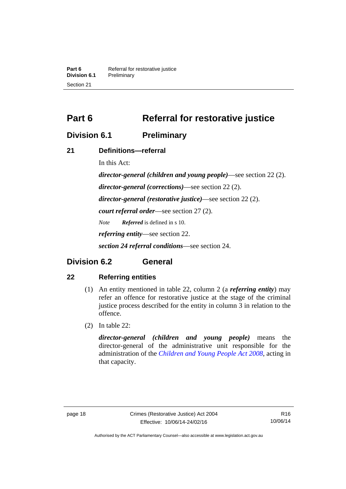**Part 6 Referral for restorative justice**<br>**Division 6.1 Preliminary Division 6.1** Preliminary Section 21

<span id="page-23-0"></span>**Part 6** Referral for restorative justice

# <span id="page-23-1"></span>**Division 6.1 Preliminary**

# <span id="page-23-2"></span>**21 Definitions—referral**

In this Act:

*director-general (children and young people)*—see section 22 (2). *director-general (corrections)*—see section 22 (2). *director-general (restorative justice)*—see section 22 (2). *court referral order*—see section 27 (2). *Note Referred* is defined in s 10. *referring entity*—see section 22. *section 24 referral conditions*—see section 24.

# <span id="page-23-3"></span>**Division 6.2 General**

# <span id="page-23-4"></span>**22 Referring entities**

- (1) An entity mentioned in table 22, column 2 (a *referring entity*) may refer an offence for restorative justice at the stage of the criminal justice process described for the entity in column 3 in relation to the offence.
- (2) In table 22:

*director-general (children and young people)* means the director-general of the administrative unit responsible for the administration of the *[Children and Young People Act 2008](http://www.legislation.act.gov.au/a/2008-19)*, acting in that capacity.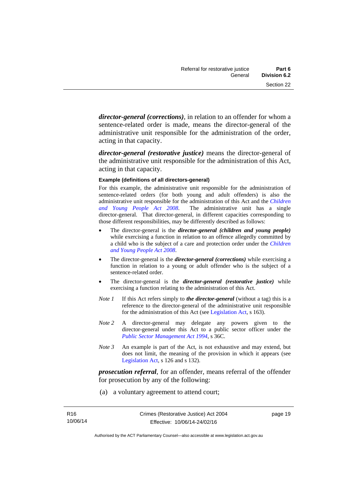*director-general (corrections)*, in relation to an offender for whom a sentence-related order is made, means the director-general of the administrative unit responsible for the administration of the order, acting in that capacity.

*director-general (restorative justice)* means the director-general of the administrative unit responsible for the administration of this Act, acting in that capacity.

#### **Example (definitions of all directors-general)**

For this example, the administrative unit responsible for the administration of sentence-related orders (for both young and adult offenders) is also the administrative unit responsible for the administration of this Act and the *[Children](http://www.legislation.act.gov.au/a/2008-19)  [and Young People Act 2008](http://www.legislation.act.gov.au/a/2008-19)*. The administrative unit has a single director-general. That director-general, in different capacities corresponding to those different responsibilities, may be differently described as follows:

- The director-general is the *director-general (children and young people)*  while exercising a function in relation to an offence allegedly committed by a child who is the subject of a care and protection order under the *[Children](http://www.legislation.act.gov.au/a/2008-19)  [and Young People Act 2008](http://www.legislation.act.gov.au/a/2008-19)*.
- The director-general is the *director-general (corrections)* while exercising a function in relation to a young or adult offender who is the subject of a sentence-related order.
- The director-general is the *director-general (restorative justice)* while exercising a function relating to the administration of this Act.
- *Note 1* If this Act refers simply to *the director-general* (without a tag) this is a reference to the director-general of the administrative unit responsible for the administration of this Act (see [Legislation Act,](http://www.legislation.act.gov.au/a/2001-14) s 163).
- *Note 2* A director-general may delegate any powers given to the director-general under this Act to a public sector officer under the *[Public Sector Management Act 1994](http://www.legislation.act.gov.au/a/1994-37)*, s 36C.
- *Note 3* An example is part of the Act, is not exhaustive and may extend, but does not limit, the meaning of the provision in which it appears (see [Legislation Act,](http://www.legislation.act.gov.au/a/2001-14) s 126 and s 132).

*prosecution referral*, for an offender, means referral of the offender for prosecution by any of the following:

(a) a voluntary agreement to attend court;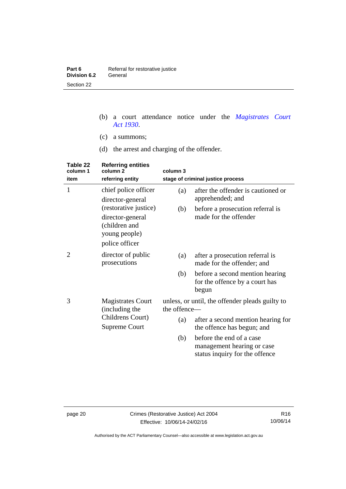| Part 6       | Referral for restorative justice |
|--------------|----------------------------------|
| Division 6.2 | General                          |
| Section 22   |                                  |

- (b) a court attendance notice under the *[Magistrates Court](http://www.legislation.act.gov.au/a/1930-21)  [Act 1930](http://www.legislation.act.gov.au/a/1930-21)*.
- (c) a summons;
- (d) the arrest and charging of the offender.

| Table 22<br>column 1 | <b>Referring entities</b><br>column <sub>2</sub>                     | column 3     |                                                                                          |
|----------------------|----------------------------------------------------------------------|--------------|------------------------------------------------------------------------------------------|
| item                 | referring entity                                                     |              | stage of criminal justice process                                                        |
| 1                    | chief police officer                                                 | (a)          | after the offender is cautioned or                                                       |
|                      | director-general<br>(restorative justice)                            | (b)          | apprehended; and<br>before a prosecution referral is                                     |
|                      | director-general<br>(children and<br>young people)<br>police officer |              | made for the offender                                                                    |
| 2                    | director of public<br>prosecutions                                   | (a)          | after a prosecution referral is<br>made for the offender; and                            |
|                      |                                                                      | (b)          | before a second mention hearing<br>for the offence by a court has<br>begun               |
| 3                    | <b>Magistrates Court</b><br>(including the                           | the offence- | unless, or until, the offender pleads guilty to                                          |
|                      | Childrens Court)<br><b>Supreme Court</b>                             | (a)          | after a second mention hearing for<br>the offence has begun; and                         |
|                      |                                                                      | (b)          | before the end of a case<br>management hearing or case<br>status inquiry for the offence |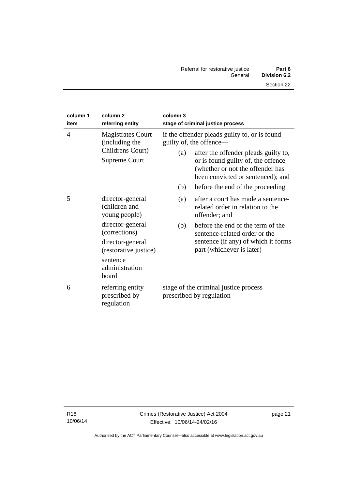| column 1<br>item                                                                                         | column <sub>2</sub><br>referring entity            | column 3                                                                                                                                            | stage of criminal justice process                                                       |
|----------------------------------------------------------------------------------------------------------|----------------------------------------------------|-----------------------------------------------------------------------------------------------------------------------------------------------------|-----------------------------------------------------------------------------------------|
| <b>Magistrates Court</b><br>$\overline{4}$<br>(including the<br>Childrens Court)<br><b>Supreme Court</b> |                                                    |                                                                                                                                                     | if the offender pleads guilty to, or is found<br>guilty of, the offence—                |
|                                                                                                          | (a)                                                | after the offender pleads guilty to,<br>or is found guilty of, the offence<br>(whether or not the offender has<br>been convicted or sentenced); and |                                                                                         |
|                                                                                                          |                                                    | (b)                                                                                                                                                 | before the end of the proceeding                                                        |
| 5                                                                                                        | director-general<br>(children and<br>young people) | (a)                                                                                                                                                 | after a court has made a sentence-<br>related order in relation to the<br>offender; and |
|                                                                                                          | director-general<br>(corrections)                  | (b)                                                                                                                                                 | before the end of the term of the<br>sentence-related order or the                      |
|                                                                                                          | director-general<br>(restorative justice)          |                                                                                                                                                     | sentence (if any) of which it forms<br>part (whichever is later)                        |
|                                                                                                          | sentence<br>administration<br>board                |                                                                                                                                                     |                                                                                         |
| 6                                                                                                        | referring entity<br>prescribed by<br>regulation    |                                                                                                                                                     | stage of the criminal justice process<br>prescribed by regulation                       |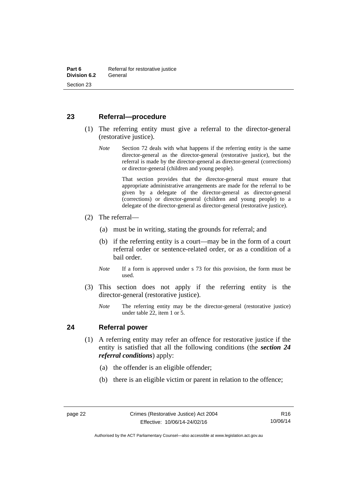# <span id="page-27-0"></span>**23 Referral—procedure**

- (1) The referring entity must give a referral to the director-general (restorative justice).
	- *Note* Section 72 deals with what happens if the referring entity is the same director-general as the director-general (restorative justice), but the referral is made by the director-general as director-general (corrections) or director-general (children and young people).

 That section provides that the director-general must ensure that appropriate administrative arrangements are made for the referral to be given by a delegate of the director-general as director-general (corrections) or director-general (children and young people) to a delegate of the director-general as director-general (restorative justice).

- (2) The referral—
	- (a) must be in writing, stating the grounds for referral; and
	- (b) if the referring entity is a court—may be in the form of a court referral order or sentence-related order, or as a condition of a bail order.
	- *Note* If a form is approved under s 73 for this provision, the form must be used.
- (3) This section does not apply if the referring entity is the director-general (restorative justice).
	- *Note* The referring entity may be the director-general (restorative justice) under table 22, item 1 or 5.

## <span id="page-27-1"></span>**24 Referral power**

- (1) A referring entity may refer an offence for restorative justice if the entity is satisfied that all the following conditions (the *section 24 referral conditions*) apply:
	- (a) the offender is an eligible offender;
	- (b) there is an eligible victim or parent in relation to the offence;

Authorised by the ACT Parliamentary Counsel—also accessible at www.legislation.act.gov.au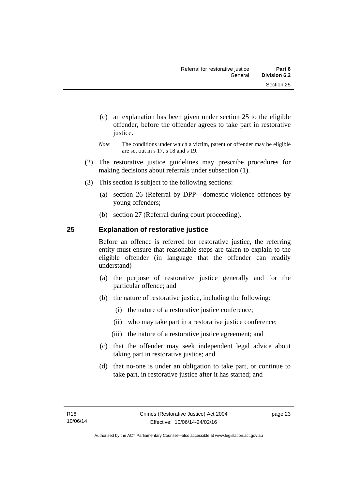- (c) an explanation has been given under section 25 to the eligible offender, before the offender agrees to take part in restorative justice.
- *Note* The conditions under which a victim, parent or offender may be eligible are set out in s 17, s 18 and s 19.
- (2) The restorative justice guidelines may prescribe procedures for making decisions about referrals under subsection (1).
- (3) This section is subject to the following sections:
	- (a) section 26 (Referral by DPP—domestic violence offences by young offenders;
	- (b) section 27 (Referral during court proceeding).

# <span id="page-28-0"></span>**25 Explanation of restorative justice**

Before an offence is referred for restorative justice, the referring entity must ensure that reasonable steps are taken to explain to the eligible offender (in language that the offender can readily understand)––

- (a) the purpose of restorative justice generally and for the particular offence; and
- (b) the nature of restorative justice, including the following:
	- (i) the nature of a restorative justice conference;
	- (ii) who may take part in a restorative justice conference;
	- (iii) the nature of a restorative justice agreement; and
- (c) that the offender may seek independent legal advice about taking part in restorative justice; and
- (d) that no-one is under an obligation to take part, or continue to take part, in restorative justice after it has started; and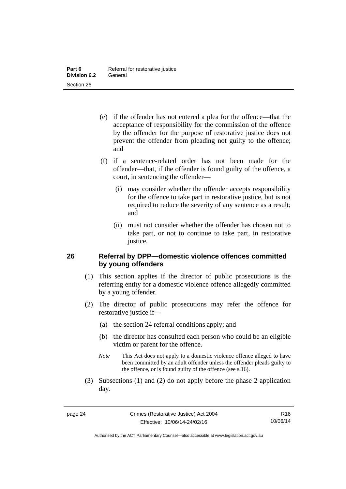- (e) if the offender has not entered a plea for the offence—that the acceptance of responsibility for the commission of the offence by the offender for the purpose of restorative justice does not prevent the offender from pleading not guilty to the offence; and
- (f) if a sentence-related order has not been made for the offender—that, if the offender is found guilty of the offence, a court, in sentencing the offender—
	- (i) may consider whether the offender accepts responsibility for the offence to take part in restorative justice, but is not required to reduce the severity of any sentence as a result; and
	- (ii) must not consider whether the offender has chosen not to take part, or not to continue to take part, in restorative justice.

# <span id="page-29-0"></span>**26 Referral by DPP—domestic violence offences committed by young offenders**

- (1) This section applies if the director of public prosecutions is the referring entity for a domestic violence offence allegedly committed by a young offender.
- (2) The director of public prosecutions may refer the offence for restorative justice if—
	- (a) the section 24 referral conditions apply; and
	- (b) the director has consulted each person who could be an eligible victim or parent for the offence.
	- *Note* This Act does not apply to a domestic violence offence alleged to have been committed by an adult offender unless the offender pleads guilty to the offence, or is found guilty of the offence (see s 16).
- (3) Subsections (1) and (2) do not apply before the phase 2 application day.

R16 10/06/14

Authorised by the ACT Parliamentary Counsel—also accessible at www.legislation.act.gov.au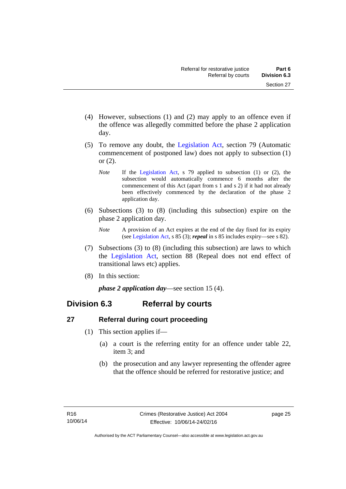- (4) However, subsections (1) and (2) may apply to an offence even if the offence was allegedly committed before the phase 2 application day.
- (5) To remove any doubt, the [Legislation Act](http://www.legislation.act.gov.au/a/2001-14), section 79 (Automatic commencement of postponed law) does not apply to subsection (1) or (2).
	- *Note* If the [Legislation Act,](http://www.legislation.act.gov.au/a/2001-14) s 79 applied to subsection (1) or (2), the subsection would automatically commence 6 months after the commencement of this Act (apart from s 1 and s 2) if it had not already been effectively commenced by the declaration of the phase 2 application day.
- (6) Subsections (3) to (8) (including this subsection) expire on the phase 2 application day.
	- *Note* A provision of an Act expires at the end of the day fixed for its expiry (see [Legislation Act,](http://www.legislation.act.gov.au/a/2001-14) s 85 (3); *repeal* in s 85 includes expiry—see s 82).
- (7) Subsections (3) to (8) (including this subsection) are laws to which the [Legislation Act](http://www.legislation.act.gov.au/a/2001-14), section 88 (Repeal does not end effect of transitional laws etc) applies.
- (8) In this section:

*phase 2 application day*—see section 15 (4).

# <span id="page-30-0"></span>**Division 6.3 Referral by courts**

# <span id="page-30-1"></span>**27 Referral during court proceeding**

- (1) This section applies if—
	- (a) a court is the referring entity for an offence under table 22, item 3; and
	- (b) the prosecution and any lawyer representing the offender agree that the offence should be referred for restorative justice; and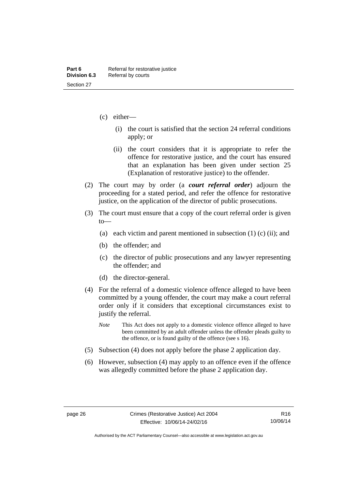- (c) either—
	- (i) the court is satisfied that the section 24 referral conditions apply; or
	- (ii) the court considers that it is appropriate to refer the offence for restorative justice, and the court has ensured that an explanation has been given under section 25 (Explanation of restorative justice) to the offender.
- (2) The court may by order (a *court referral order*) adjourn the proceeding for a stated period, and refer the offence for restorative justice, on the application of the director of public prosecutions.
- (3) The court must ensure that a copy of the court referral order is given to—
	- (a) each victim and parent mentioned in subsection  $(1)$  (c) (ii); and
	- (b) the offender; and
	- (c) the director of public prosecutions and any lawyer representing the offender; and
	- (d) the director-general.
- (4) For the referral of a domestic violence offence alleged to have been committed by a young offender, the court may make a court referral order only if it considers that exceptional circumstances exist to justify the referral.
	- *Note* This Act does not apply to a domestic violence offence alleged to have been committed by an adult offender unless the offender pleads guilty to the offence, or is found guilty of the offence (see s 16).
- (5) Subsection (4) does not apply before the phase 2 application day.
- (6) However, subsection (4) may apply to an offence even if the offence was allegedly committed before the phase 2 application day.

Authorised by the ACT Parliamentary Counsel—also accessible at www.legislation.act.gov.au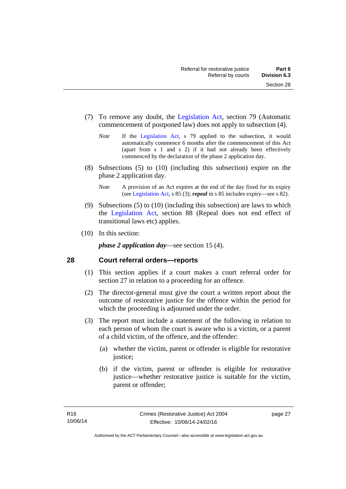- (7) To remove any doubt, the [Legislation Act](http://www.legislation.act.gov.au/a/2001-14), section 79 (Automatic commencement of postponed law) does not apply to subsection (4).
	- *Note* If the [Legislation Act,](http://www.legislation.act.gov.au/a/2001-14) s 79 applied to the subsection, it would automatically commence 6 months after the commencement of this Act (apart from s 1 and s 2) if it had not already been effectively commenced by the declaration of the phase 2 application day.
- (8) Subsections (5) to (10) (including this subsection) expire on the phase 2 application day.
	- *Note* A provision of an Act expires at the end of the day fixed for its expiry (see [Legislation Act,](http://www.legislation.act.gov.au/a/2001-14) s 85 (3); *repeal* in s 85 includes expiry—see s 82).
- (9) Subsections (5) to (10) (including this subsection) are laws to which the [Legislation Act](http://www.legislation.act.gov.au/a/2001-14), section 88 (Repeal does not end effect of transitional laws etc) applies.
- (10) In this section:

*phase 2 application day*—see section 15 (4).

# <span id="page-32-0"></span>**28 Court referral orders—reports**

- (1) This section applies if a court makes a court referral order for section 27 in relation to a proceeding for an offence.
- (2) The director-general must give the court a written report about the outcome of restorative justice for the offence within the period for which the proceeding is adjourned under the order.
- (3) The report must include a statement of the following in relation to each person of whom the court is aware who is a victim, or a parent of a child victim, of the offence, and the offender:
	- (a) whether the victim, parent or offender is eligible for restorative justice;
	- (b) if the victim, parent or offender is eligible for restorative justice—whether restorative justice is suitable for the victim, parent or offender;

page 27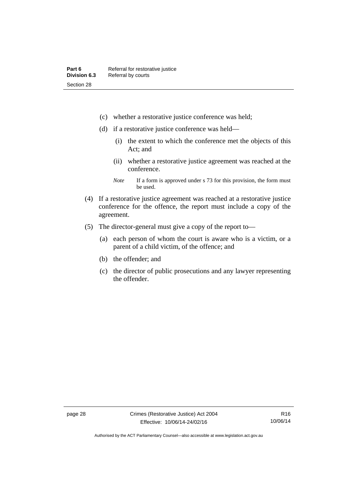- (c) whether a restorative justice conference was held;
- (d) if a restorative justice conference was held—
	- (i) the extent to which the conference met the objects of this Act; and
	- (ii) whether a restorative justice agreement was reached at the conference.
	- *Note* If a form is approved under s 73 for this provision, the form must be used.
- (4) If a restorative justice agreement was reached at a restorative justice conference for the offence, the report must include a copy of the agreement.
- (5) The director-general must give a copy of the report to—
	- (a) each person of whom the court is aware who is a victim, or a parent of a child victim, of the offence; and
	- (b) the offender; and
	- (c) the director of public prosecutions and any lawyer representing the offender.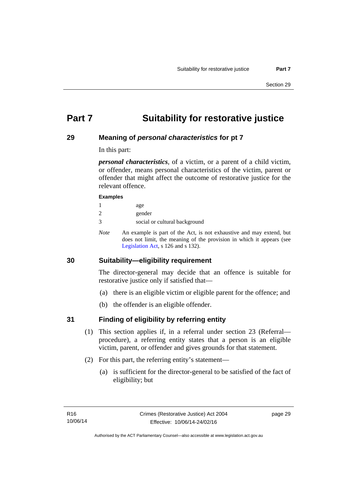# <span id="page-34-0"></span>**Part 7 Suitability for restorative justice**

# <span id="page-34-1"></span>**29 Meaning of** *personal characteristics* **for pt 7**

In this part:

*personal characteristics*, of a victim, or a parent of a child victim, or offender, means personal characteristics of the victim, parent or offender that might affect the outcome of restorative justice for the relevant offence.

#### **Examples**

| age |
|-----|
|     |

- 2 gender
- 3 social or cultural background
- *Note* An example is part of the Act, is not exhaustive and may extend, but does not limit, the meaning of the provision in which it appears (see [Legislation Act,](http://www.legislation.act.gov.au/a/2001-14) s 126 and s 132).

# <span id="page-34-2"></span>**30 Suitability—eligibility requirement**

The director-general may decide that an offence is suitable for restorative justice only if satisfied that—

- (a) there is an eligible victim or eligible parent for the offence; and
- (b) the offender is an eligible offender.

# <span id="page-34-3"></span>**31 Finding of eligibility by referring entity**

- (1) This section applies if, in a referral under section 23 (Referral procedure), a referring entity states that a person is an eligible victim, parent, or offender and gives grounds for that statement.
- (2) For this part, the referring entity's statement—
	- (a) is sufficient for the director-general to be satisfied of the fact of eligibility; but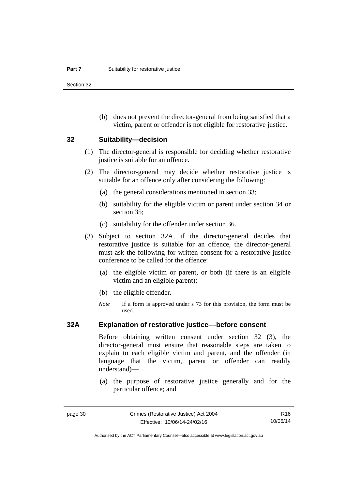Section 32

 (b) does not prevent the director-general from being satisfied that a victim, parent or offender is not eligible for restorative justice.

#### <span id="page-35-0"></span>**32 Suitability—decision**

- (1) The director-general is responsible for deciding whether restorative justice is suitable for an offence.
- (2) The director-general may decide whether restorative justice is suitable for an offence only after considering the following:
	- (a) the general considerations mentioned in section 33;
	- (b) suitability for the eligible victim or parent under section 34 or section 35:
	- (c) suitability for the offender under section 36.
- (3) Subject to section 32A, if the director-general decides that restorative justice is suitable for an offence, the director-general must ask the following for written consent for a restorative justice conference to be called for the offence:
	- (a) the eligible victim or parent, or both (if there is an eligible victim and an eligible parent);
	- (b) the eligible offender.
	- *Note* If a form is approved under s 73 for this provision, the form must be used.

## <span id="page-35-1"></span>**32A Explanation of restorative justice––before consent**

Before obtaining written consent under section 32 (3), the director-general must ensure that reasonable steps are taken to explain to each eligible victim and parent, and the offender (in language that the victim, parent or offender can readily understand)—

 (a) the purpose of restorative justice generally and for the particular offence; and

R16 10/06/14

Authorised by the ACT Parliamentary Counsel—also accessible at www.legislation.act.gov.au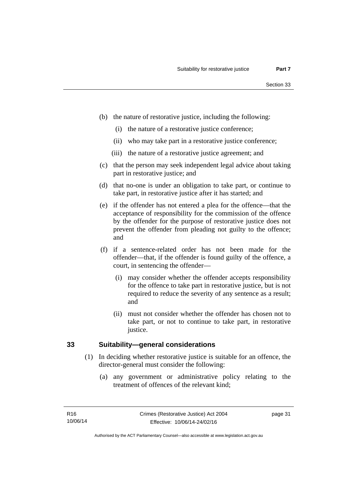- (b) the nature of restorative justice, including the following:
	- (i) the nature of a restorative justice conference;
	- (ii) who may take part in a restorative justice conference;
	- (iii) the nature of a restorative justice agreement; and
- (c) that the person may seek independent legal advice about taking part in restorative justice; and
- (d) that no-one is under an obligation to take part, or continue to take part, in restorative justice after it has started; and
- (e) if the offender has not entered a plea for the offence—that the acceptance of responsibility for the commission of the offence by the offender for the purpose of restorative justice does not prevent the offender from pleading not guilty to the offence; and
- (f) if a sentence-related order has not been made for the offender—that, if the offender is found guilty of the offence, a court, in sentencing the offender—
	- (i) may consider whether the offender accepts responsibility for the offence to take part in restorative justice, but is not required to reduce the severity of any sentence as a result; and
	- (ii) must not consider whether the offender has chosen not to take part, or not to continue to take part, in restorative justice.

### **33 Suitability—general considerations**

- (1) In deciding whether restorative justice is suitable for an offence, the director-general must consider the following:
	- (a) any government or administrative policy relating to the treatment of offences of the relevant kind;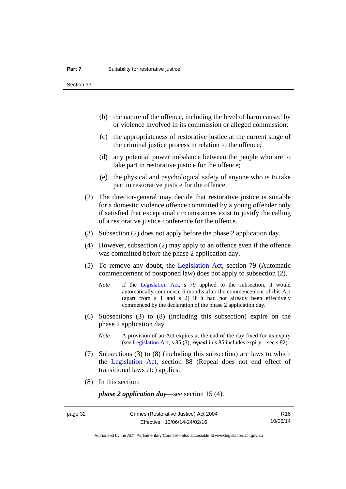Section 33

- (b) the nature of the offence, including the level of harm caused by or violence involved in its commission or alleged commission;
- (c) the appropriateness of restorative justice at the current stage of the criminal justice process in relation to the offence;
- (d) any potential power imbalance between the people who are to take part in restorative justice for the offence;
- (e) the physical and psychological safety of anyone who is to take part in restorative justice for the offence.
- (2) The director-general may decide that restorative justice is suitable for a domestic violence offence committed by a young offender only if satisfied that exceptional circumstances exist to justify the calling of a restorative justice conference for the offence.
- (3) Subsection (2) does not apply before the phase 2 application day.
- (4) However, subsection (2) may apply to an offence even if the offence was committed before the phase 2 application day.
- (5) To remove any doubt, the [Legislation Act](http://www.legislation.act.gov.au/a/2001-14), section 79 (Automatic commencement of postponed law) does not apply to subsection (2).
	- *Note* If the [Legislation Act,](http://www.legislation.act.gov.au/a/2001-14) s 79 applied to the subsection, it would automatically commence 6 months after the commencement of this Act (apart from s 1 and s 2) if it had not already been effectively commenced by the declaration of the phase 2 application day.
- (6) Subsections (3) to (8) (including this subsection) expire on the phase 2 application day.
	- *Note* A provision of an Act expires at the end of the day fixed for its expiry (see [Legislation Act,](http://www.legislation.act.gov.au/a/2001-14) s 85 (3); *repeal* in s 85 includes expiry—see s 82).
- (7) Subsections (3) to (8) (including this subsection) are laws to which the [Legislation Act](http://www.legislation.act.gov.au/a/2001-14), section 88 (Repeal does not end effect of transitional laws etc) applies.
- (8) In this section:

*phase 2 application day*—see section 15 (4).

R16 10/06/14

Authorised by the ACT Parliamentary Counsel—also accessible at www.legislation.act.gov.au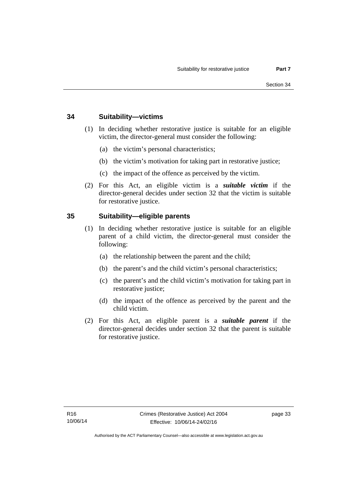### **34 Suitability—victims**

- (1) In deciding whether restorative justice is suitable for an eligible victim, the director-general must consider the following:
	- (a) the victim's personal characteristics;
	- (b) the victim's motivation for taking part in restorative justice;
	- (c) the impact of the offence as perceived by the victim.
- (2) For this Act, an eligible victim is a *suitable victim* if the director-general decides under section 32 that the victim is suitable for restorative justice.

### **35 Suitability—eligible parents**

- (1) In deciding whether restorative justice is suitable for an eligible parent of a child victim, the director-general must consider the following:
	- (a) the relationship between the parent and the child;
	- (b) the parent's and the child victim's personal characteristics;
	- (c) the parent's and the child victim's motivation for taking part in restorative justice;
	- (d) the impact of the offence as perceived by the parent and the child victim.
- (2) For this Act, an eligible parent is a *suitable parent* if the director-general decides under section 32 that the parent is suitable for restorative justice.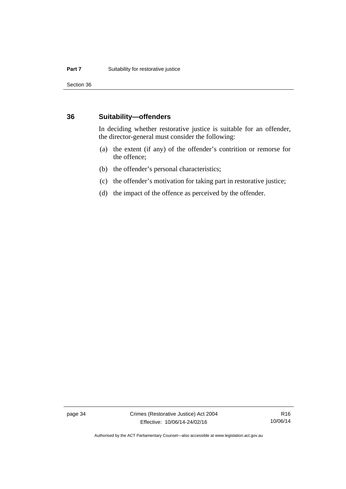Section 36

### **36 Suitability—offenders**

In deciding whether restorative justice is suitable for an offender, the director-general must consider the following:

- (a) the extent (if any) of the offender's contrition or remorse for the offence;
- (b) the offender's personal characteristics;
- (c) the offender's motivation for taking part in restorative justice;
- (d) the impact of the offence as perceived by the offender.

page 34 Crimes (Restorative Justice) Act 2004 Effective: 10/06/14-24/02/16

R16 10/06/14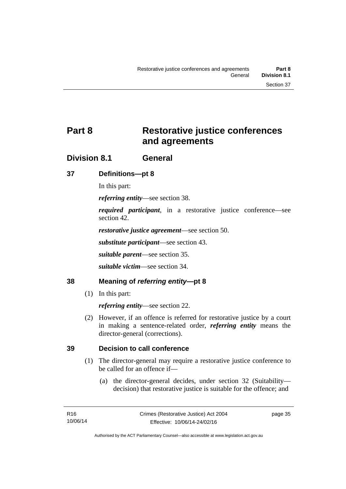# **Part 8 Restorative justice conferences and agreements**

# **Division 8.1 General**

### **37 Definitions—pt 8**

In this part:

*referring entity*—see section 38.

*required participant*, in a restorative justice conference—see section 42.

*restorative justice agreement*—see section 50.

*substitute participant*—see section 43.

*suitable parent*—see section 35.

*suitable victim*—see section 34.

### **38 Meaning of** *referring entity***—pt 8**

(1) In this part:

*referring entity*—see section 22.

 (2) However, if an offence is referred for restorative justice by a court in making a sentence-related order, *referring entity* means the director-general (corrections).

### **39 Decision to call conference**

- (1) The director-general may require a restorative justice conference to be called for an offence if—
	- (a) the director-general decides, under section 32 (Suitability decision) that restorative justice is suitable for the offence; and

page 35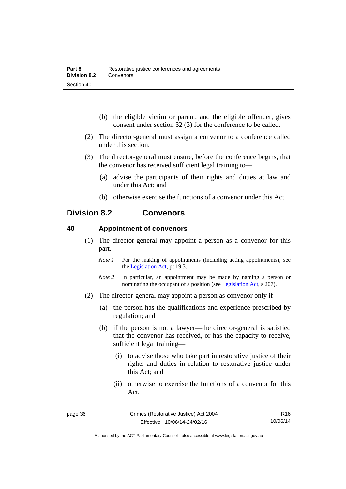- (b) the eligible victim or parent, and the eligible offender, gives consent under section 32 (3) for the conference to be called.
- (2) The director-general must assign a convenor to a conference called under this section.
- (3) The director-general must ensure, before the conference begins, that the convenor has received sufficient legal training to—
	- (a) advise the participants of their rights and duties at law and under this Act; and
	- (b) otherwise exercise the functions of a convenor under this Act.

# **Division 8.2 Convenors**

### **40 Appointment of convenors**

- (1) The director-general may appoint a person as a convenor for this part.
	- *Note 1* For the making of appointments (including acting appointments), see the [Legislation Act,](http://www.legislation.act.gov.au/a/2001-14) pt 19.3.
	- *Note 2* In particular, an appointment may be made by naming a person or nominating the occupant of a position (see [Legislation Act](http://www.legislation.act.gov.au/a/2001-14), s 207).
- (2) The director-general may appoint a person as convenor only if—
	- (a) the person has the qualifications and experience prescribed by regulation; and
	- (b) if the person is not a lawyer—the director-general is satisfied that the convenor has received, or has the capacity to receive, sufficient legal training—
		- (i) to advise those who take part in restorative justice of their rights and duties in relation to restorative justice under this Act; and
		- (ii) otherwise to exercise the functions of a convenor for this Act.

R16 10/06/14

Authorised by the ACT Parliamentary Counsel—also accessible at www.legislation.act.gov.au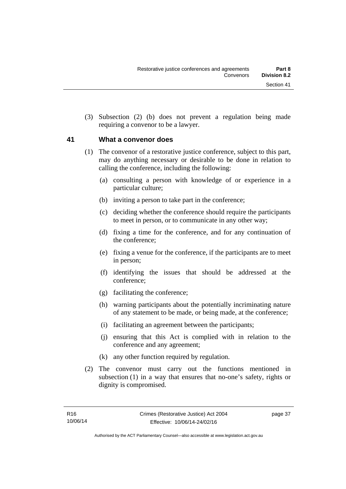(3) Subsection (2) (b) does not prevent a regulation being made requiring a convenor to be a lawyer.

### **41 What a convenor does**

- (1) The convenor of a restorative justice conference, subject to this part, may do anything necessary or desirable to be done in relation to calling the conference, including the following:
	- (a) consulting a person with knowledge of or experience in a particular culture;
	- (b) inviting a person to take part in the conference;
	- (c) deciding whether the conference should require the participants to meet in person, or to communicate in any other way;
	- (d) fixing a time for the conference, and for any continuation of the conference;
	- (e) fixing a venue for the conference, if the participants are to meet in person;
	- (f) identifying the issues that should be addressed at the conference;
	- (g) facilitating the conference;
	- (h) warning participants about the potentially incriminating nature of any statement to be made, or being made, at the conference;
	- (i) facilitating an agreement between the participants;
	- (j) ensuring that this Act is complied with in relation to the conference and any agreement;
	- (k) any other function required by regulation.
- (2) The convenor must carry out the functions mentioned in subsection (1) in a way that ensures that no-one's safety, rights or dignity is compromised.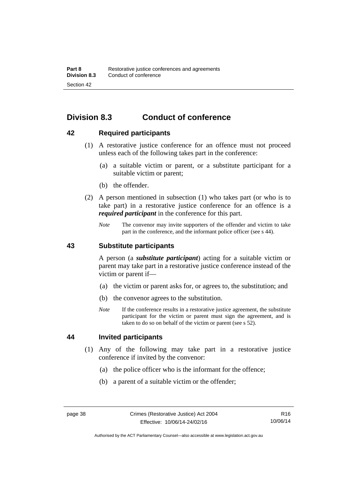# **Division 8.3 Conduct of conference**

### **42 Required participants**

- (1) A restorative justice conference for an offence must not proceed unless each of the following takes part in the conference:
	- (a) a suitable victim or parent, or a substitute participant for a suitable victim or parent;
	- (b) the offender.
- (2) A person mentioned in subsection (1) who takes part (or who is to take part) in a restorative justice conference for an offence is a *required participant* in the conference for this part.
	- *Note* The convenor may invite supporters of the offender and victim to take part in the conference, and the informant police officer (see s 44).

### **43 Substitute participants**

A person (a *substitute participant*) acting for a suitable victim or parent may take part in a restorative justice conference instead of the victim or parent if—

- (a) the victim or parent asks for, or agrees to, the substitution; and
- (b) the convenor agrees to the substitution.
- *Note* If the conference results in a restorative justice agreement, the substitute participant for the victim or parent must sign the agreement, and is taken to do so on behalf of the victim or parent (see s 52).

### **44 Invited participants**

- (1) Any of the following may take part in a restorative justice conference if invited by the convenor:
	- (a) the police officer who is the informant for the offence;
	- (b) a parent of a suitable victim or the offender;

Authorised by the ACT Parliamentary Counsel—also accessible at www.legislation.act.gov.au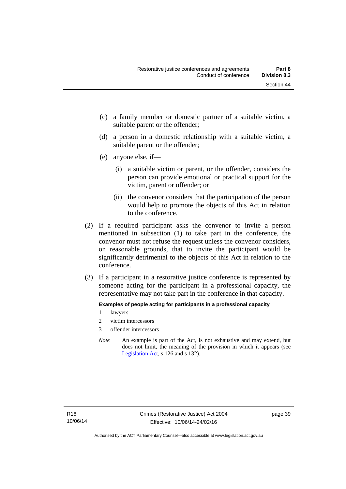- (c) a family member or domestic partner of a suitable victim, a suitable parent or the offender;
- (d) a person in a domestic relationship with a suitable victim, a suitable parent or the offender;
- (e) anyone else, if—
	- (i) a suitable victim or parent, or the offender, considers the person can provide emotional or practical support for the victim, parent or offender; or
	- (ii) the convenor considers that the participation of the person would help to promote the objects of this Act in relation to the conference.
- (2) If a required participant asks the convenor to invite a person mentioned in subsection (1) to take part in the conference, the convenor must not refuse the request unless the convenor considers, on reasonable grounds, that to invite the participant would be significantly detrimental to the objects of this Act in relation to the conference.
- (3) If a participant in a restorative justice conference is represented by someone acting for the participant in a professional capacity, the representative may not take part in the conference in that capacity.

#### **Examples of people acting for participants in a professional capacity**

- 1 lawyers
- 2 victim intercessors
- 3 offender intercessors
- *Note* An example is part of the Act, is not exhaustive and may extend, but does not limit, the meaning of the provision in which it appears (see [Legislation Act,](http://www.legislation.act.gov.au/a/2001-14) s 126 and s 132).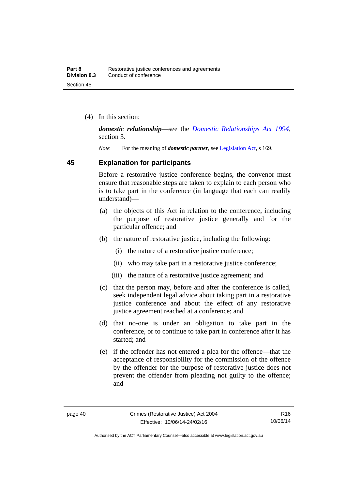(4) In this section:

*domestic relationship*—see the *[Domestic Relationships Act 1994](http://www.legislation.act.gov.au/a/1994-28)*, section 3.

*Note* For the meaning of *domestic partner*, see [Legislation Act](http://www.legislation.act.gov.au/a/2001-14), s 169.

### **45 Explanation for participants**

Before a restorative justice conference begins, the convenor must ensure that reasonable steps are taken to explain to each person who is to take part in the conference (in language that each can readily understand)—

- (a) the objects of this Act in relation to the conference, including the purpose of restorative justice generally and for the particular offence; and
- (b) the nature of restorative justice, including the following:
	- (i) the nature of a restorative justice conference;
	- (ii) who may take part in a restorative justice conference;
	- (iii) the nature of a restorative justice agreement; and
- (c) that the person may, before and after the conference is called, seek independent legal advice about taking part in a restorative justice conference and about the effect of any restorative justice agreement reached at a conference; and
- (d) that no-one is under an obligation to take part in the conference, or to continue to take part in conference after it has started; and
- (e) if the offender has not entered a plea for the offence—that the acceptance of responsibility for the commission of the offence by the offender for the purpose of restorative justice does not prevent the offender from pleading not guilty to the offence; and

Authorised by the ACT Parliamentary Counsel—also accessible at www.legislation.act.gov.au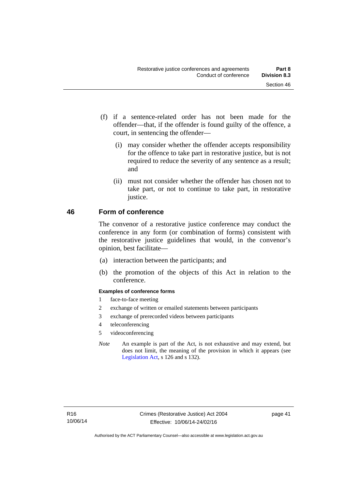- (f) if a sentence-related order has not been made for the offender—that, if the offender is found guilty of the offence, a court, in sentencing the offender—
	- (i) may consider whether the offender accepts responsibility for the offence to take part in restorative justice, but is not required to reduce the severity of any sentence as a result; and
	- (ii) must not consider whether the offender has chosen not to take part, or not to continue to take part, in restorative justice.

### **46 Form of conference**

The convenor of a restorative justice conference may conduct the conference in any form (or combination of forms) consistent with the restorative justice guidelines that would, in the convenor's opinion, best facilitate—

- (a) interaction between the participants; and
- (b) the promotion of the objects of this Act in relation to the conference.

#### **Examples of conference forms**

- 1 face-to-face meeting
- 2 exchange of written or emailed statements between participants
- 3 exchange of prerecorded videos between participants
- 4 teleconferencing
- 5 videoconferencing
- *Note* An example is part of the Act, is not exhaustive and may extend, but does not limit, the meaning of the provision in which it appears (see [Legislation Act,](http://www.legislation.act.gov.au/a/2001-14) s 126 and s 132).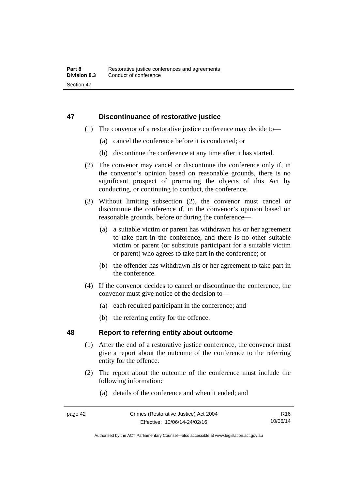### **47 Discontinuance of restorative justice**

- (1) The convenor of a restorative justice conference may decide to—
	- (a) cancel the conference before it is conducted; or
	- (b) discontinue the conference at any time after it has started.
- (2) The convenor may cancel or discontinue the conference only if, in the convenor's opinion based on reasonable grounds, there is no significant prospect of promoting the objects of this Act by conducting, or continuing to conduct, the conference.
- (3) Without limiting subsection (2), the convenor must cancel or discontinue the conference if, in the convenor's opinion based on reasonable grounds, before or during the conference—
	- (a) a suitable victim or parent has withdrawn his or her agreement to take part in the conference, and there is no other suitable victim or parent (or substitute participant for a suitable victim or parent) who agrees to take part in the conference; or
	- (b) the offender has withdrawn his or her agreement to take part in the conference.
- (4) If the convenor decides to cancel or discontinue the conference, the convenor must give notice of the decision to—
	- (a) each required participant in the conference; and
	- (b) the referring entity for the offence.

### **48 Report to referring entity about outcome**

- (1) After the end of a restorative justice conference, the convenor must give a report about the outcome of the conference to the referring entity for the offence.
- (2) The report about the outcome of the conference must include the following information:
	- (a) details of the conference and when it ended; and

R16 10/06/14

Authorised by the ACT Parliamentary Counsel—also accessible at www.legislation.act.gov.au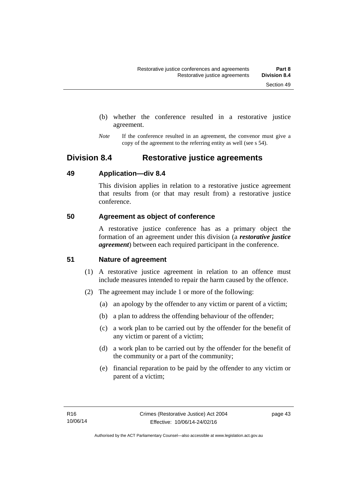- (b) whether the conference resulted in a restorative justice agreement.
- *Note* If the conference resulted in an agreement, the convenor must give a copy of the agreement to the referring entity as well (see s 54).

# **Division 8.4 Restorative justice agreements**

### **49 Application—div 8.4**

This division applies in relation to a restorative justice agreement that results from (or that may result from) a restorative justice conference.

### **50 Agreement as object of conference**

A restorative justice conference has as a primary object the formation of an agreement under this division (a *restorative justice agreement*) between each required participant in the conference.

### **51 Nature of agreement**

- (1) A restorative justice agreement in relation to an offence must include measures intended to repair the harm caused by the offence.
- (2) The agreement may include 1 or more of the following:
	- (a) an apology by the offender to any victim or parent of a victim;
	- (b) a plan to address the offending behaviour of the offender;
	- (c) a work plan to be carried out by the offender for the benefit of any victim or parent of a victim;
	- (d) a work plan to be carried out by the offender for the benefit of the community or a part of the community;
	- (e) financial reparation to be paid by the offender to any victim or parent of a victim;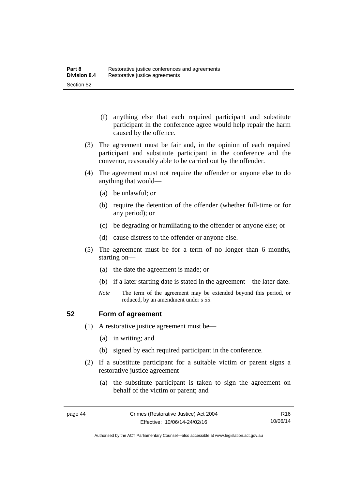- (f) anything else that each required participant and substitute participant in the conference agree would help repair the harm caused by the offence.
- (3) The agreement must be fair and, in the opinion of each required participant and substitute participant in the conference and the convenor, reasonably able to be carried out by the offender.
- (4) The agreement must not require the offender or anyone else to do anything that would—
	- (a) be unlawful; or
	- (b) require the detention of the offender (whether full-time or for any period); or
	- (c) be degrading or humiliating to the offender or anyone else; or
	- (d) cause distress to the offender or anyone else.
- (5) The agreement must be for a term of no longer than 6 months, starting on—
	- (a) the date the agreement is made; or
	- (b) if a later starting date is stated in the agreement—the later date.
	- *Note* The term of the agreement may be extended beyond this period, or reduced, by an amendment under s 55.

### **52 Form of agreement**

- (1) A restorative justice agreement must be—
	- (a) in writing; and
	- (b) signed by each required participant in the conference.
- (2) If a substitute participant for a suitable victim or parent signs a restorative justice agreement—
	- (a) the substitute participant is taken to sign the agreement on behalf of the victim or parent; and

Authorised by the ACT Parliamentary Counsel—also accessible at www.legislation.act.gov.au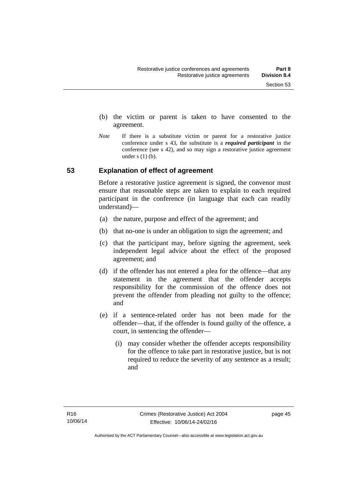- (b) the victim or parent is taken to have consented to the agreement.
- *Note* If there is a substitute victim or parent for a restorative justice conference under s 43, the substitute is a *required participant* in the conference (see s 42), and so may sign a restorative justice agreement under  $s(1)(b)$ .

### **53 Explanation of effect of agreement**

Before a restorative justice agreement is signed, the convenor must ensure that reasonable steps are taken to explain to each required participant in the conference (in language that each can readily understand)—

- (a) the nature, purpose and effect of the agreement; and
- (b) that no-one is under an obligation to sign the agreement; and
- (c) that the participant may, before signing the agreement, seek independent legal advice about the effect of the proposed agreement; and
- (d) if the offender has not entered a plea for the offence—that any statement in the agreement that the offender accepts responsibility for the commission of the offence does not prevent the offender from pleading not guilty to the offence; and
- (e) if a sentence-related order has not been made for the offender—that, if the offender is found guilty of the offence, a court, in sentencing the offender—
	- (i) may consider whether the offender accepts responsibility for the offence to take part in restorative justice, but is not required to reduce the severity of any sentence as a result: and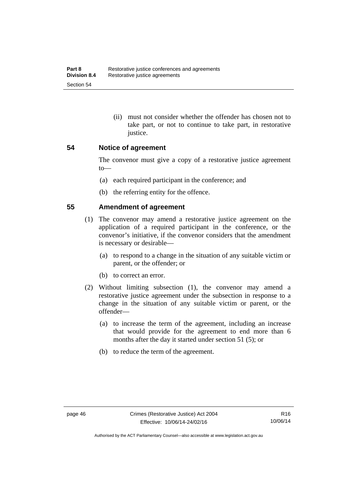(ii) must not consider whether the offender has chosen not to take part, or not to continue to take part, in restorative justice.

### **54 Notice of agreement**

The convenor must give a copy of a restorative justice agreement to—

- (a) each required participant in the conference; and
- (b) the referring entity for the offence.

### **55 Amendment of agreement**

- (1) The convenor may amend a restorative justice agreement on the application of a required participant in the conference, or the convenor's initiative, if the convenor considers that the amendment is necessary or desirable—
	- (a) to respond to a change in the situation of any suitable victim or parent, or the offender; or
	- (b) to correct an error.
- (2) Without limiting subsection (1), the convenor may amend a restorative justice agreement under the subsection in response to a change in the situation of any suitable victim or parent, or the offender—
	- (a) to increase the term of the agreement, including an increase that would provide for the agreement to end more than 6 months after the day it started under section 51 (5); or
	- (b) to reduce the term of the agreement.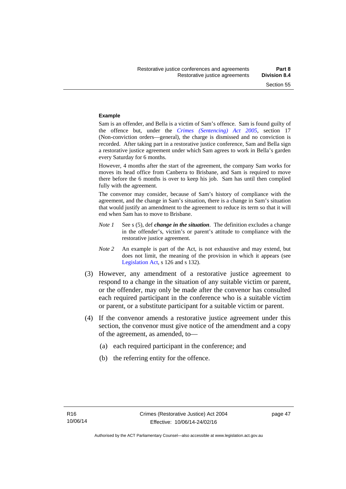#### **Example**

Sam is an offender, and Bella is a victim of Sam's offence. Sam is found guilty of the offence but, under the *[Crimes \(Sentencing\) Act 2005](http://www.legislation.act.gov.au/a/2005-58)*, section 17 (Non-conviction orders—general), the charge is dismissed and no conviction is recorded. After taking part in a restorative justice conference, Sam and Bella sign a restorative justice agreement under which Sam agrees to work in Bella's garden every Saturday for 6 months.

However, 4 months after the start of the agreement, the company Sam works for moves its head office from Canberra to Brisbane, and Sam is required to move there before the 6 months is over to keep his job. Sam has until then complied fully with the agreement.

The convenor may consider, because of Sam's history of compliance with the agreement, and the change in Sam's situation, there is a change in Sam's situation that would justify an amendment to the agreement to reduce its term so that it will end when Sam has to move to Brisbane.

- *Note 1* See s (5), def *change in the situation*. The definition excludes a change in the offender's, victim's or parent's attitude to compliance with the restorative justice agreement.
- *Note 2* An example is part of the Act, is not exhaustive and may extend, but does not limit, the meaning of the provision in which it appears (see [Legislation Act,](http://www.legislation.act.gov.au/a/2001-14) s 126 and s 132).
- (3) However, any amendment of a restorative justice agreement to respond to a change in the situation of any suitable victim or parent, or the offender, may only be made after the convenor has consulted each required participant in the conference who is a suitable victim or parent, or a substitute participant for a suitable victim or parent.
- (4) If the convenor amends a restorative justice agreement under this section, the convenor must give notice of the amendment and a copy of the agreement, as amended, to—
	- (a) each required participant in the conference; and
	- (b) the referring entity for the offence.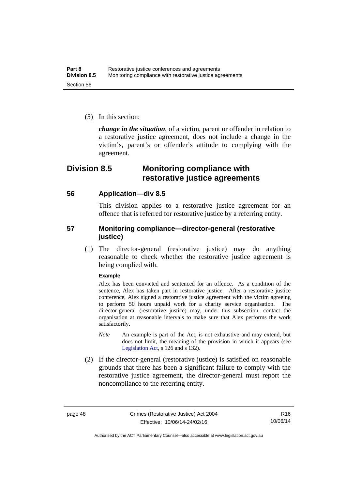(5) In this section:

*change in the situation*, of a victim, parent or offender in relation to a restorative justice agreement, does not include a change in the victim's, parent's or offender's attitude to complying with the agreement.

## **Division 8.5 Monitoring compliance with restorative justice agreements**

### **56 Application—div 8.5**

This division applies to a restorative justice agreement for an offence that is referred for restorative justice by a referring entity.

### **57 Monitoring compliance—director-general (restorative justice)**

 (1) The director-general (restorative justice) may do anything reasonable to check whether the restorative justice agreement is being complied with.

#### **Example**

Alex has been convicted and sentenced for an offence. As a condition of the sentence, Alex has taken part in restorative justice. After a restorative justice conference, Alex signed a restorative justice agreement with the victim agreeing to perform 50 hours unpaid work for a charity service organisation. The director-general (restorative justice) may, under this subsection, contact the organisation at reasonable intervals to make sure that Alex performs the work satisfactorily.

- *Note* An example is part of the Act, is not exhaustive and may extend, but does not limit, the meaning of the provision in which it appears (see [Legislation Act,](http://www.legislation.act.gov.au/a/2001-14) s 126 and s 132).
- (2) If the director-general (restorative justice) is satisfied on reasonable grounds that there has been a significant failure to comply with the restorative justice agreement, the director-general must report the noncompliance to the referring entity.

Authorised by the ACT Parliamentary Counsel—also accessible at www.legislation.act.gov.au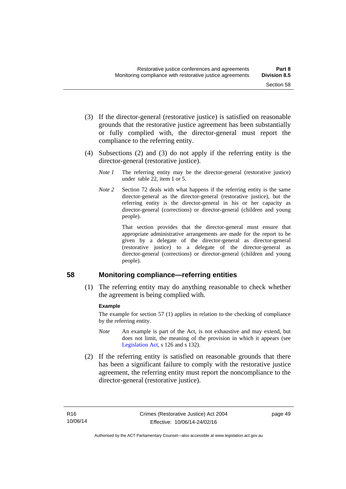- (3) If the director-general (restorative justice) is satisfied on reasonable grounds that the restorative justice agreement has been substantially or fully complied with, the director-general must report the compliance to the referring entity.
- (4) Subsections (2) and (3) do not apply if the referring entity is the director-general (restorative justice).
	- *Note 1* The referring entity may be the director-general (restorative justice) under table 22, item 1 or 5.
	- *Note 2* Section 72 deals with what happens if the referring entity is the same director-general as the director-general (restorative justice), but the referring entity is the director-general in his or her capacity as director-general (corrections) or director-general (children and young people).

 That section provides that the director-general must ensure that appropriate administrative arrangements are made for the report to be given by a delegate of the director-general as director-general (restorative justice) to a delegate of the director-general as director-general (corrections) or director-general (children and young people).

### **58 Monitoring compliance—referring entities**

 (1) The referring entity may do anything reasonable to check whether the agreement is being complied with.

#### **Example**

The example for section 57 (1) applies in relation to the checking of compliance by the referring entity.

- *Note* An example is part of the Act, is not exhaustive and may extend, but does not limit, the meaning of the provision in which it appears (see [Legislation Act,](http://www.legislation.act.gov.au/a/2001-14) s 126 and s 132).
- (2) If the referring entity is satisfied on reasonable grounds that there has been a significant failure to comply with the restorative justice agreement, the referring entity must report the noncompliance to the director-general (restorative justice).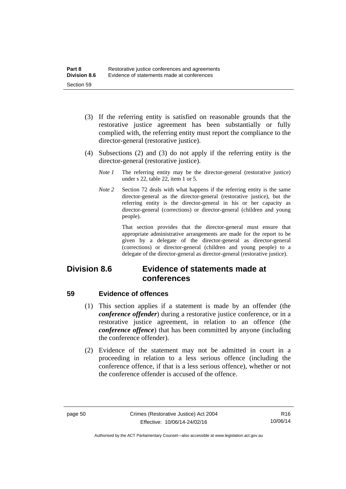- (3) If the referring entity is satisfied on reasonable grounds that the restorative justice agreement has been substantially or fully complied with, the referring entity must report the compliance to the director-general (restorative justice).
- (4) Subsections (2) and (3) do not apply if the referring entity is the director-general (restorative justice).
	- *Note 1* The referring entity may be the director-general (restorative justice) under s 22, table 22, item 1 or 5.
	- *Note 2* Section 72 deals with what happens if the referring entity is the same director-general as the director-general (restorative justice), but the referring entity is the director-general in his or her capacity as director-general (corrections) or director-general (children and young people).

 That section provides that the director-general must ensure that appropriate administrative arrangements are made for the report to be given by a delegate of the director-general as director-general (corrections) or director-general (children and young people) to a delegate of the director-general as director-general (restorative justice).

# **Division 8.6 Evidence of statements made at conferences**

### **59 Evidence of offences**

- (1) This section applies if a statement is made by an offender (the *conference offender*) during a restorative justice conference, or in a restorative justice agreement, in relation to an offence (the *conference offence*) that has been committed by anyone (including the conference offender).
- (2) Evidence of the statement may not be admitted in court in a proceeding in relation to a less serious offence (including the conference offence, if that is a less serious offence), whether or not the conference offender is accused of the offence.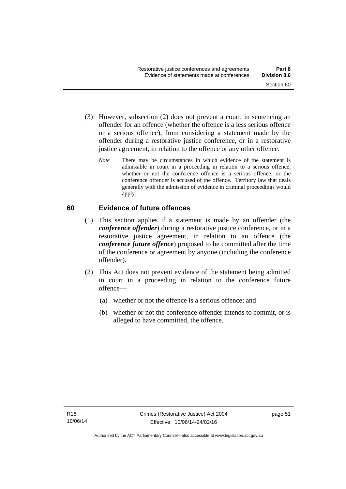- (3) However, subsection (2) does not prevent a court, in sentencing an offender for an offence (whether the offence is a less serious offence or a serious offence), from considering a statement made by the offender during a restorative justice conference, or in a restorative justice agreement, in relation to the offence or any other offence.
	- *Note* There may be circumstances in which evidence of the statement is admissible in court in a proceeding in relation to a serious offence, whether or not the conference offence is a serious offence, or the conference offender is accused of the offence. Territory law that deals generally with the admission of evidence in criminal proceedings would apply.

### **60 Evidence of future offences**

- (1) This section applies if a statement is made by an offender (the *conference offender*) during a restorative justice conference, or in a restorative justice agreement, in relation to an offence (the *conference future offence*) proposed to be committed after the time of the conference or agreement by anyone (including the conference offender).
- (2) This Act does not prevent evidence of the statement being admitted in court in a proceeding in relation to the conference future offence—
	- (a) whether or not the offence is a serious offence; and
	- (b) whether or not the conference offender intends to commit, or is alleged to have committed, the offence.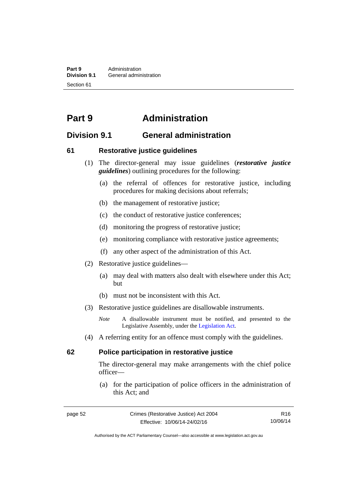**Part 9 Administration**<br>**Division 9.1 General adminity General administration** Section 61

# **Part 9 Administration**

## **Division 9.1 General administration**

### **61 Restorative justice guidelines**

- (1) The director-general may issue guidelines (*restorative justice guidelines*) outlining procedures for the following:
	- (a) the referral of offences for restorative justice, including procedures for making decisions about referrals;
	- (b) the management of restorative justice;
	- (c) the conduct of restorative justice conferences;
	- (d) monitoring the progress of restorative justice;
	- (e) monitoring compliance with restorative justice agreements;
	- (f) any other aspect of the administration of this Act.
- (2) Restorative justice guidelines—
	- (a) may deal with matters also dealt with elsewhere under this Act; but
	- (b) must not be inconsistent with this Act.
- (3) Restorative justice guidelines are disallowable instruments.

*Note* A disallowable instrument must be notified, and presented to the Legislative Assembly, under the [Legislation Act.](http://www.legislation.act.gov.au/a/2001-14)

(4) A referring entity for an offence must comply with the guidelines.

### **62 Police participation in restorative justice**

The director-general may make arrangements with the chief police officer—

 (a) for the participation of police officers in the administration of this Act; and

Authorised by the ACT Parliamentary Counsel—also accessible at www.legislation.act.gov.au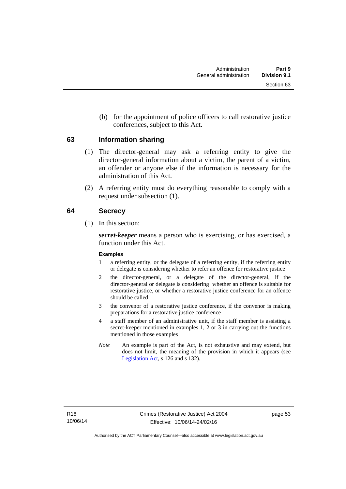(b) for the appointment of police officers to call restorative justice conferences, subject to this Act.

### **63 Information sharing**

- (1) The director-general may ask a referring entity to give the director-general information about a victim, the parent of a victim, an offender or anyone else if the information is necessary for the administration of this Act.
- (2) A referring entity must do everything reasonable to comply with a request under subsection (1).

### **64 Secrecy**

(1) In this section:

*secret-keeper* means a person who is exercising, or has exercised, a function under this Act.

#### **Examples**

- 1 a referring entity, or the delegate of a referring entity, if the referring entity or delegate is considering whether to refer an offence for restorative justice
- 2 the director-general, or a delegate of the director-general, if the director-general or delegate is considering whether an offence is suitable for restorative justice, or whether a restorative justice conference for an offence should be called
- 3 the convenor of a restorative justice conference, if the convenor is making preparations for a restorative justice conference
- 4 a staff member of an administrative unit, if the staff member is assisting a secret-keeper mentioned in examples 1, 2 or 3 in carrying out the functions mentioned in those examples
- *Note* An example is part of the Act, is not exhaustive and may extend, but does not limit, the meaning of the provision in which it appears (see [Legislation Act,](http://www.legislation.act.gov.au/a/2001-14) s 126 and s 132).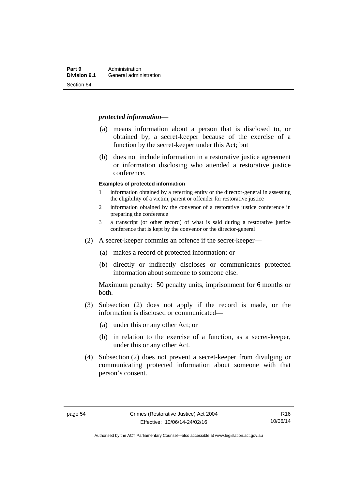#### *protected information*—

- (a) means information about a person that is disclosed to, or obtained by, a secret-keeper because of the exercise of a function by the secret-keeper under this Act; but
- (b) does not include information in a restorative justice agreement or information disclosing who attended a restorative justice conference.

#### **Examples of protected information**

- 1 information obtained by a referring entity or the director-general in assessing the eligibility of a victim, parent or offender for restorative justice
- 2 information obtained by the convenor of a restorative justice conference in preparing the conference
- 3 a transcript (or other record) of what is said during a restorative justice conference that is kept by the convenor or the director-general
- (2) A secret-keeper commits an offence if the secret-keeper—
	- (a) makes a record of protected information; or
	- (b) directly or indirectly discloses or communicates protected information about someone to someone else.

Maximum penalty: 50 penalty units, imprisonment for 6 months or both.

- (3) Subsection (2) does not apply if the record is made, or the information is disclosed or communicated—
	- (a) under this or any other Act; or
	- (b) in relation to the exercise of a function, as a secret-keeper, under this or any other Act.
- (4) Subsection (2) does not prevent a secret-keeper from divulging or communicating protected information about someone with that person's consent.

Authorised by the ACT Parliamentary Counsel—also accessible at www.legislation.act.gov.au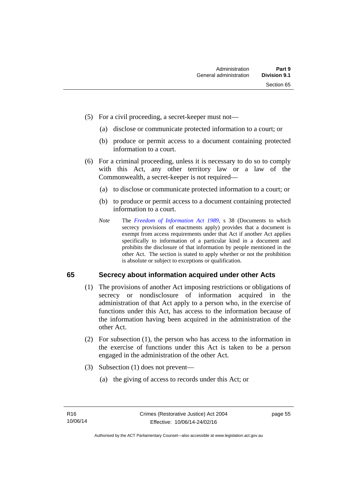- (5) For a civil proceeding, a secret-keeper must not—
	- (a) disclose or communicate protected information to a court; or
	- (b) produce or permit access to a document containing protected information to a court.
- (6) For a criminal proceeding, unless it is necessary to do so to comply with this Act, any other territory law or a law of the Commonwealth, a secret-keeper is not required—
	- (a) to disclose or communicate protected information to a court; or
	- (b) to produce or permit access to a document containing protected information to a court.
	- *Note* The *[Freedom of Information Act 1989](http://www.legislation.act.gov.au/a/alt_a1989-46co)*, s 38 (Documents to which secrecy provisions of enactments apply) provides that a document is exempt from access requirements under that Act if another Act applies specifically to information of a particular kind in a document and prohibits the disclosure of that information by people mentioned in the other Act. The section is stated to apply whether or not the prohibition is absolute or subject to exceptions or qualification.

### **65 Secrecy about information acquired under other Acts**

- (1) The provisions of another Act imposing restrictions or obligations of secrecy or nondisclosure of information acquired in the administration of that Act apply to a person who, in the exercise of functions under this Act, has access to the information because of the information having been acquired in the administration of the other Act.
- (2) For subsection (1), the person who has access to the information in the exercise of functions under this Act is taken to be a person engaged in the administration of the other Act.
- (3) Subsection (1) does not prevent—
	- (a) the giving of access to records under this Act; or

page 55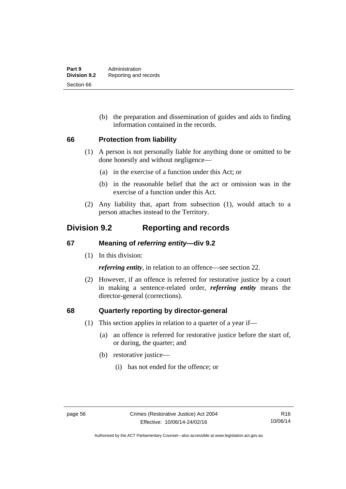(b) the preparation and dissemination of guides and aids to finding information contained in the records.

### **66 Protection from liability**

- (1) A person is not personally liable for anything done or omitted to be done honestly and without negligence—
	- (a) in the exercise of a function under this Act; or
	- (b) in the reasonable belief that the act or omission was in the exercise of a function under this Act.
- (2) Any liability that, apart from subsection (1), would attach to a person attaches instead to the Territory.

## **Division 9.2 Reporting and records**

### **67 Meaning of** *referring entity—***div 9.2**

(1) In this division:

*referring entity*, in relation to an offence—see section 22.

 (2) However, if an offence is referred for restorative justice by a court in making a sentence-related order, *referring entity* means the director-general (corrections).

### **68 Quarterly reporting by director-general**

- (1) This section applies in relation to a quarter of a year if—
	- (a) an offence is referred for restorative justice before the start of, or during, the quarter; and
	- (b) restorative justice—
		- (i) has not ended for the offence; or

Authorised by the ACT Parliamentary Counsel—also accessible at www.legislation.act.gov.au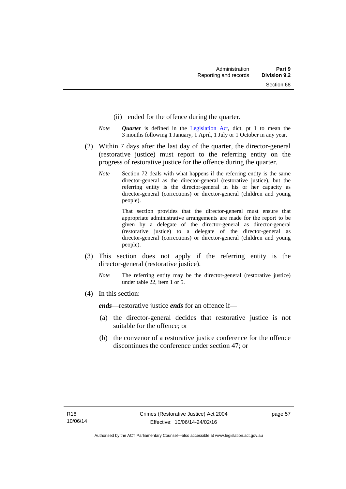- (ii) ended for the offence during the quarter.
- *Note Quarter* is defined in the [Legislation Act](http://www.legislation.act.gov.au/a/2001-14), dict, pt 1 to mean the 3 months following 1 January, 1 April, 1 July or 1 October in any year.
- (2) Within 7 days after the last day of the quarter, the director-general (restorative justice) must report to the referring entity on the progress of restorative justice for the offence during the quarter.
	- *Note* Section 72 deals with what happens if the referring entity is the same director-general as the director-general (restorative justice), but the referring entity is the director-general in his or her capacity as director-general (corrections) or director-general (children and young people).

 That section provides that the director-general must ensure that appropriate administrative arrangements are made for the report to be given by a delegate of the director-general as director-general (restorative justice) to a delegate of the director-general as director-general (corrections) or director-general (children and young people).

- (3) This section does not apply if the referring entity is the director-general (restorative justice).
	- *Note* The referring entity may be the director-general (restorative justice) under table 22, item 1 or 5.
- (4) In this section:

*ends*—restorative justice *ends* for an offence if—

- (a) the director-general decides that restorative justice is not suitable for the offence; or
- (b) the convenor of a restorative justice conference for the offence discontinues the conference under section 47; or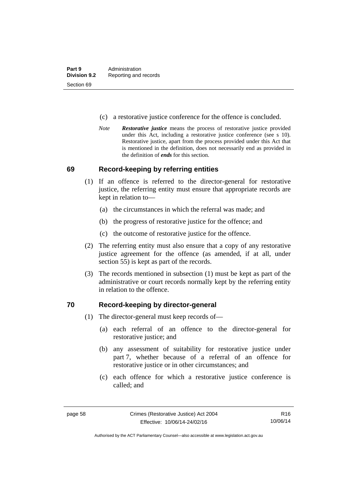- (c) a restorative justice conference for the offence is concluded.
- *Note Restorative justice* means the process of restorative justice provided under this Act, including a restorative justice conference (see s 10). Restorative justice, apart from the process provided under this Act that is mentioned in the definition, does not necessarily end as provided in the definition of *ends* for this section.

### **69 Record-keeping by referring entities**

- (1) If an offence is referred to the director-general for restorative justice, the referring entity must ensure that appropriate records are kept in relation to—
	- (a) the circumstances in which the referral was made; and
	- (b) the progress of restorative justice for the offence; and
	- (c) the outcome of restorative justice for the offence.
- (2) The referring entity must also ensure that a copy of any restorative justice agreement for the offence (as amended, if at all, under section 55) is kept as part of the records.
- (3) The records mentioned in subsection (1) must be kept as part of the administrative or court records normally kept by the referring entity in relation to the offence.

### **70 Record-keeping by director-general**

- (1) The director-general must keep records of—
	- (a) each referral of an offence to the director-general for restorative justice; and
	- (b) any assessment of suitability for restorative justice under part 7, whether because of a referral of an offence for restorative justice or in other circumstances; and
	- (c) each offence for which a restorative justice conference is called; and

R16 10/06/14

Authorised by the ACT Parliamentary Counsel—also accessible at www.legislation.act.gov.au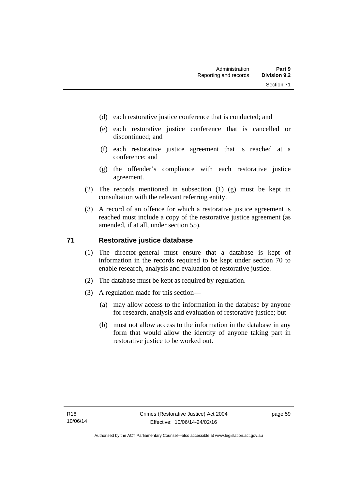- (d) each restorative justice conference that is conducted; and
- (e) each restorative justice conference that is cancelled or discontinued; and
- (f) each restorative justice agreement that is reached at a conference; and
- (g) the offender's compliance with each restorative justice agreement.
- (2) The records mentioned in subsection (1) (g) must be kept in consultation with the relevant referring entity.
- (3) A record of an offence for which a restorative justice agreement is reached must include a copy of the restorative justice agreement (as amended, if at all, under section 55).

### **71 Restorative justice database**

- (1) The director-general must ensure that a database is kept of information in the records required to be kept under section 70 to enable research, analysis and evaluation of restorative justice.
- (2) The database must be kept as required by regulation.
- (3) A regulation made for this section—
	- (a) may allow access to the information in the database by anyone for research, analysis and evaluation of restorative justice; but
	- (b) must not allow access to the information in the database in any form that would allow the identity of anyone taking part in restorative justice to be worked out.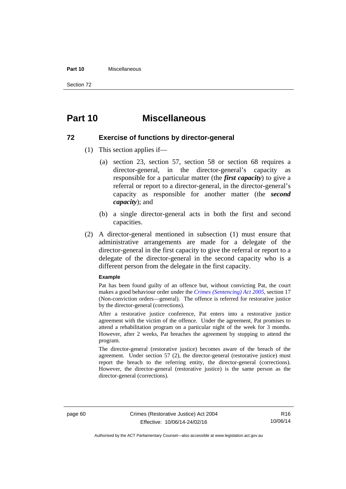#### **Part 10** Miscellaneous

Section 72

# **Part 10 Miscellaneous**

#### **72 Exercise of functions by director-general**

- (1) This section applies if—
	- (a) section 23, section 57, section 58 or section 68 requires a director-general, in the director-general's capacity as responsible for a particular matter (the *first capacity*) to give a referral or report to a director-general, in the director-general's capacity as responsible for another matter (the *second capacity*); and
	- (b) a single director-general acts in both the first and second capacities.
- (2) A director-general mentioned in subsection (1) must ensure that administrative arrangements are made for a delegate of the director-general in the first capacity to give the referral or report to a delegate of the director-general in the second capacity who is a different person from the delegate in the first capacity.

#### **Example**

Pat has been found guilty of an offence but, without convicting Pat, the court makes a good behaviour order under the *[Crimes \(Sentencing\) Act 2005](http://www.legislation.act.gov.au/a/2005-58)*, section 17 (Non-conviction orders—general). The offence is referred for restorative justice by the director-general (corrections).

After a restorative justice conference, Pat enters into a restorative justice agreement with the victim of the offence. Under the agreement, Pat promises to attend a rehabilitation program on a particular night of the week for 3 months. However, after 2 weeks, Pat breaches the agreement by stopping to attend the program.

The director-general (restorative justice) becomes aware of the breach of the agreement. Under section 57 (2), the director-general (restorative justice) must report the breach to the referring entity, the director-general (corrections). However, the director-general (restorative justice) is the same person as the director-general (corrections).

Authorised by the ACT Parliamentary Counsel—also accessible at www.legislation.act.gov.au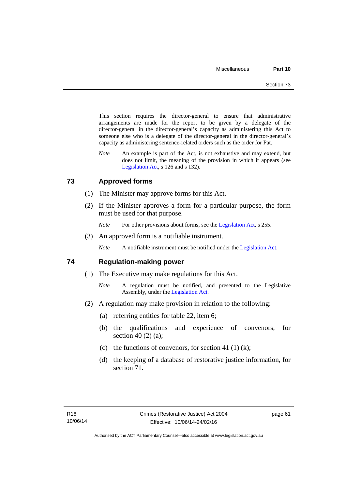This section requires the director-general to ensure that administrative arrangements are made for the report to be given by a delegate of the director-general in the director-general's capacity as administering this Act to someone else who is a delegate of the director-general in the director-general's capacity as administering sentence-related orders such as the order for Pat.

*Note* An example is part of the Act, is not exhaustive and may extend, but does not limit, the meaning of the provision in which it appears (see [Legislation Act,](http://www.legislation.act.gov.au/a/2001-14) s 126 and s 132).

### **73 Approved forms**

- (1) The Minister may approve forms for this Act.
- (2) If the Minister approves a form for a particular purpose, the form must be used for that purpose.

*Note* For other provisions about forms, see the [Legislation Act,](http://www.legislation.act.gov.au/a/2001-14) s 255.

(3) An approved form is a notifiable instrument.

*Note* A notifiable instrument must be notified under the [Legislation Act](http://www.legislation.act.gov.au/a/2001-14).

### **74 Regulation-making power**

- (1) The Executive may make regulations for this Act.
	- *Note* A regulation must be notified, and presented to the Legislative Assembly, under the [Legislation Act](http://www.legislation.act.gov.au/a/2001-14).
- (2) A regulation may make provision in relation to the following:
	- (a) referring entities for table 22, item 6;
	- (b) the qualifications and experience of convenors, for section 40 (2) (a);
	- (c) the functions of convenors, for section 41 (1) (k);
	- (d) the keeping of a database of restorative justice information, for section 71.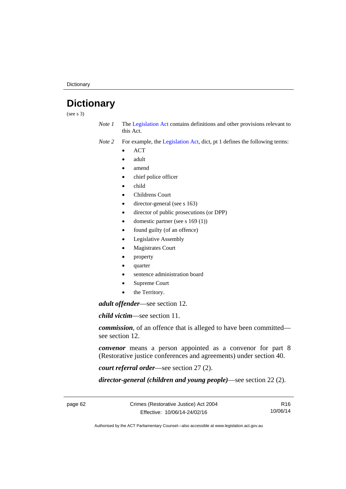**Dictionary** 

# **Dictionary**

(see s 3)

*Note 1* The [Legislation Act](http://www.legislation.act.gov.au/a/2001-14) contains definitions and other provisions relevant to this Act.

*Note 2* For example, the [Legislation Act,](http://www.legislation.act.gov.au/a/2001-14) dict, pt 1 defines the following terms:

- **ACT**
- adult
- amend
- chief police officer
- child
- Childrens Court
- director-general (see s 163)
- director of public prosecutions (or DPP)
- domestic partner (see s 169 (1))
- found guilty (of an offence)
- Legislative Assembly
- Magistrates Court
- property
- quarter
- sentence administration board
- Supreme Court
- the Territory.

*adult offender*—see section 12.

*child victim*—see section 11.

*commission*, of an offence that is alleged to have been committed see section 12.

*convenor* means a person appointed as a convenor for part 8 (Restorative justice conferences and agreements) under section 40.

*court referral order*—see section 27 (2).

*director-general (children and young people)*—see section 22 (2).

page 62 Crimes (Restorative Justice) Act 2004 Effective: 10/06/14-24/02/16

R16 10/06/14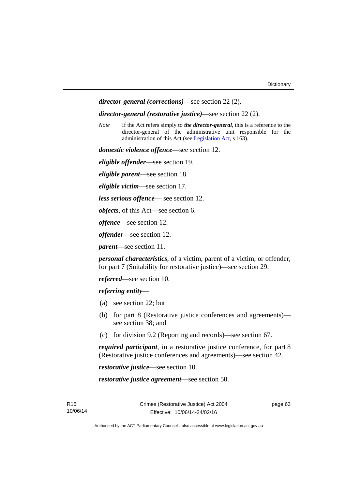*director-general (corrections)*—see section 22 (2).

*director-general (restorative justice)*—see section 22 (2).

*Note* If the Act refers simply to *the director-general*, this is a reference to the director-general of the administrative unit responsible for the administration of this Act (see [Legislation Act,](http://www.legislation.act.gov.au/a/2001-14) s 163).

*domestic violence offence*—see section 12.

*eligible offender*—see section 19.

*eligible parent*—see section 18.

*eligible victim*—see section 17.

*less serious offence*— see section 12.

*objects*, of this Act—see section 6.

*offence*—see section 12.

*offender*—see section 12.

*parent*—see section 11.

*personal characteristics*, of a victim, parent of a victim, or offender, for part 7 (Suitability for restorative justice)—see section 29.

*referred*—see section 10.

*referring entity*—

- (a) see section 22; but
- (b) for part 8 (Restorative justice conferences and agreements) see section 38; and
- (c) for division 9.2 (Reporting and records)—see section 67.

*required participant*, in a restorative justice conference, for part 8 (Restorative justice conferences and agreements)—see section 42.

*restorative justice*—see section 10.

*restorative justice agreement*—see section 50.

page 63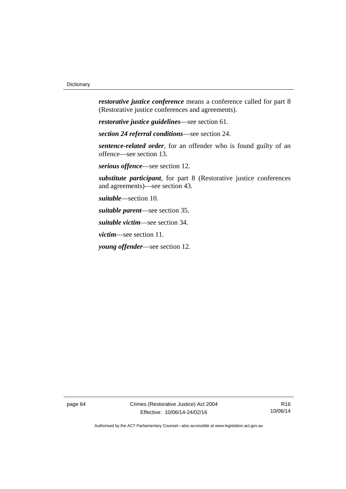*restorative justice conference* means a conference called for part 8 (Restorative justice conferences and agreements).

*restorative justice guidelines*—see section 61.

*section 24 referral conditions*—see section 24.

*sentence-related order*, for an offender who is found guilty of an offence—see section 13.

*serious offence*—see section 12.

*substitute participant*, for part 8 (Restorative justice conferences and agreements)—see section 43.

*suitable*—section 10.

*suitable parent*—see section 35.

*suitable victim*—see section 34.

*victim*—see section 11.

*young offender*—see section 12.

page 64 Crimes (Restorative Justice) Act 2004 Effective: 10/06/14-24/02/16

R16 10/06/14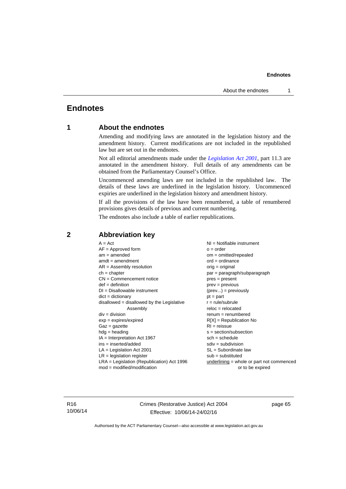#### **Endnotes**

## **Endnotes**

### **1 About the endnotes**

Amending and modifying laws are annotated in the legislation history and the amendment history. Current modifications are not included in the republished law but are set out in the endnotes.

Not all editorial amendments made under the *[Legislation Act 2001](http://www.legislation.act.gov.au/a/2001-14)*, part 11.3 are annotated in the amendment history. Full details of any amendments can be obtained from the Parliamentary Counsel's Office.

Uncommenced amending laws are not included in the republished law. The details of these laws are underlined in the legislation history. Uncommenced expiries are underlined in the legislation history and amendment history.

If all the provisions of the law have been renumbered, a table of renumbered provisions gives details of previous and current numbering.

The endnotes also include a table of earlier republications.

| $A = Act$<br>$AF =$ Approved form<br>$am = amended$<br>$amdt = amendment$<br>$AR = Assembly resolution$<br>$ch = chapter$<br>$CN =$ Commencement notice<br>$def = definition$<br>$DI = Disallowable instrument$<br>$dict = dictionary$<br>$disallowed = disallowed by the Legislative$<br>Assembly<br>$div = division$<br>$exp = expires/expired$<br>$Gaz = gazette$<br>$hdg =$ heading<br>$IA = Interpretation Act 1967$<br>$ins = inserted/added$<br>$LA =$ Legislation Act 2001<br>$LR =$ legislation register<br>$LRA =$ Legislation (Republication) Act 1996 | $NI =$ Notifiable instrument<br>$o = order$<br>$om = omitted/repealed$<br>$ord = ordinance$<br>$orig = original$<br>par = paragraph/subparagraph<br>$pres = present$<br>$prev = previous$<br>$(\text{prev}) = \text{previously}$<br>$pt = part$<br>$r = rule/subrule$<br>$reloc = relocated$<br>$renum = renumbered$<br>$R[X]$ = Republication No<br>$RI = reissue$<br>$s = section/subsection$<br>$sch = schedule$<br>$sdiv = subdivision$<br>$SL = Subordinate$ law<br>$sub =$ substituted<br>$underlining = whole or part not commenced$ |
|-------------------------------------------------------------------------------------------------------------------------------------------------------------------------------------------------------------------------------------------------------------------------------------------------------------------------------------------------------------------------------------------------------------------------------------------------------------------------------------------------------------------------------------------------------------------|---------------------------------------------------------------------------------------------------------------------------------------------------------------------------------------------------------------------------------------------------------------------------------------------------------------------------------------------------------------------------------------------------------------------------------------------------------------------------------------------------------------------------------------------|
| $mod = modified/modification$                                                                                                                                                                                                                                                                                                                                                                                                                                                                                                                                     | or to be expired                                                                                                                                                                                                                                                                                                                                                                                                                                                                                                                            |
|                                                                                                                                                                                                                                                                                                                                                                                                                                                                                                                                                                   |                                                                                                                                                                                                                                                                                                                                                                                                                                                                                                                                             |

### **2 Abbreviation key**

R16 10/06/14 Crimes (Restorative Justice) Act 2004 Effective: 10/06/14-24/02/16

page 65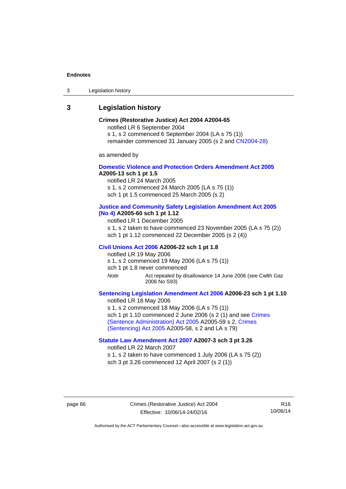#### **Endnotes**

3 Legislation history

### **3 Legislation history**

### **Crimes (Restorative Justice) Act 2004 A2004-65**

notified LR 6 September 2004

s 1, s 2 commenced 6 September 2004 (LA s 75 (1))

remainder commenced 31 January 2005 (s 2 and [CN2004-28\)](http://www.legislation.act.gov.au/cn/2004-28/default.asp)

as amended by

#### **[Domestic Violence and Protection Orders Amendment Act 2005](http://www.legislation.act.gov.au/a/2005-13) A2005-13 sch 1 pt 1.5**

notified LR 24 March 2005

s 1, s 2 commenced 24 March 2005 (LA s 75 (1)) sch 1 pt 1.5 commenced 25 March 2005 (s 2)

# **[Justice and Community Safety Legislation Amendment Act 2005](http://www.legislation.act.gov.au/a/2005-60)**

**[\(No 4\)](http://www.legislation.act.gov.au/a/2005-60) A2005-60 sch 1 pt 1.12** 

notified LR 1 December 2005

s 1, s 2 taken to have commenced 23 November 2005 (LA s 75 (2)) sch 1 pt 1.12 commenced 22 December 2005 (s 2 (4))

#### **[Civil Unions Act 2006](http://www.legislation.act.gov.au/a/2006-22) A2006-22 sch 1 pt 1.8**

notified LR 19 May 2006

s 1, s 2 commenced 19 May 2006 (LA s 75 (1))

sch 1 pt 1.8 never commenced

*Note* Act repealed by disallowance 14 June 2006 (see Cwlth Gaz 2006 No S93)

### **[Sentencing Legislation Amendment Act 2006](http://www.legislation.act.gov.au/a/2006-23) A2006-23 sch 1 pt 1.10**

notified LR 18 May 2006 s 1, s 2 commenced 18 May 2006 (LA s 75 (1)) sch 1 pt 1.10 commenced 2 June 2006 (s 2 (1) and see Crimes [\(Sentence Administration\) Act 2005](http://www.legislation.act.gov.au/a/2005-59) A2005-59 s 2, [Crimes](http://www.legislation.act.gov.au/a/2005-58)  [\(Sentencing\) Act 2005](http://www.legislation.act.gov.au/a/2005-58) A2005-58, s 2 and LA s 79)

### **[Statute Law Amendment Act 2007](http://www.legislation.act.gov.au/a/2007-3) A2007-3 sch 3 pt 3.26**

notified LR 22 March 2007

s 1, s 2 taken to have commenced 1 July 2006 (LA s 75 (2)) sch 3 pt 3.26 commenced 12 April 2007 (s 2 (1))

page 66 Crimes (Restorative Justice) Act 2004 Effective: 10/06/14-24/02/16

R16 10/06/14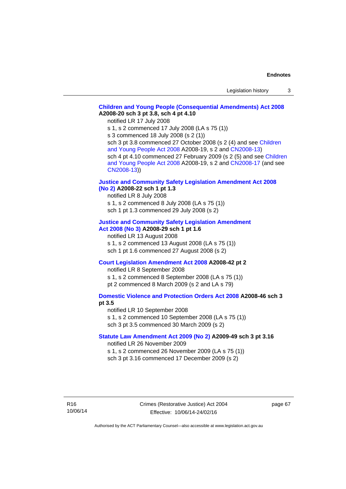### **[Children and Young People \(Consequential Amendments\) Act 2008](http://www.legislation.act.gov.au/a/2008-20) A2008-20 sch 3 pt 3.8, sch 4 pt 4.10**

notified LR 17 July 2008

s 1, s 2 commenced 17 July 2008 (LA s 75 (1))

s 3 commenced 18 July 2008 (s 2 (1))

sch 3 pt 3.8 commenced 27 October 2008 (s 2 (4) and see [Children](http://www.legislation.act.gov.au/a/2008-19)  [and Young People Act 2008](http://www.legislation.act.gov.au/a/2008-19) A2008-19, s 2 and [CN2008-13](http://www.legislation.act.gov.au/cn/2008-13/default.asp)) sch 4 pt 4.10 commenced 27 February 2009 (s 2 (5) and see [Children](http://www.legislation.act.gov.au/a/2008-19)  [and Young People Act 2008](http://www.legislation.act.gov.au/a/2008-19) A2008-19, s 2 and [CN2008-17 \(](http://www.legislation.act.gov.au/cn/2008-17/default.asp)and see [CN2008-13](http://www.legislation.act.gov.au/cn/2008-13/default.asp)))

### **[Justice and Community Safety Legislation Amendment Act 2008](http://www.legislation.act.gov.au/a/2008-22)  [\(No 2\)](http://www.legislation.act.gov.au/a/2008-22) A2008-22 sch 1 pt 1.3**

notified LR 8 July 2008 s 1, s 2 commenced 8 July 2008 (LA s 75 (1)) sch 1 pt 1.3 commenced 29 July 2008 (s 2)

### **[Justice and Community Safety Legislation Amendment](http://www.legislation.act.gov.au/a/2008-29)  [Act 2008 \(No 3\)](http://www.legislation.act.gov.au/a/2008-29) A2008-29 sch 1 pt 1.6**

notified LR 13 August 2008 s 1, s 2 commenced 13 August 2008 (LA s 75 (1)) sch 1 pt 1.6 commenced 27 August 2008 (s 2)

### **[Court Legislation Amendment Act 2008](http://www.legislation.act.gov.au/a/2008-42) A2008-42 pt 2**

notified LR 8 September 2008 s 1, s 2 commenced 8 September 2008 (LA s 75 (1)) pt 2 commenced 8 March 2009 (s 2 and LA s 79)

### **[Domestic Violence and Protection Orders Act 2008](http://www.legislation.act.gov.au/a/2008-46) A2008-46 sch 3 pt 3.5**

notified LR 10 September 2008 s 1, s 2 commenced 10 September 2008 (LA s 75 (1)) sch 3 pt 3.5 commenced 30 March 2009 (s 2)

### **[Statute Law Amendment Act 2009 \(No 2\)](http://www.legislation.act.gov.au/a/2009-49) A2009-49 sch 3 pt 3.16**  notified LR 26 November 2009

s 1, s 2 commenced 26 November 2009 (LA s 75 (1)) sch 3 pt 3.16 commenced 17 December 2009 (s 2)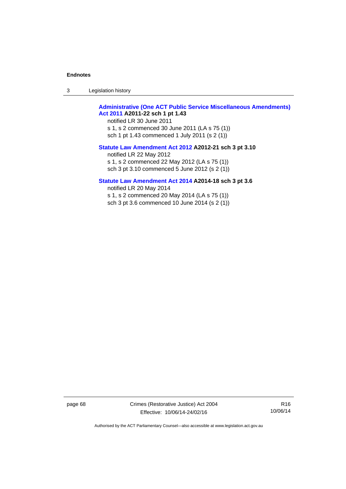3 Legislation history

### **[Administrative \(One ACT Public Service Miscellaneous Amendments\)](http://www.legislation.act.gov.au/a/2011-22)  [Act 2011](http://www.legislation.act.gov.au/a/2011-22) A2011-22 sch 1 pt 1.43**

notified LR 30 June 2011 s 1, s 2 commenced 30 June 2011 (LA s 75 (1)) sch 1 pt 1.43 commenced 1 July 2011 (s 2 (1))

### **[Statute Law Amendment Act 2012](http://www.legislation.act.gov.au/a/2012-21) A2012-21 sch 3 pt 3.10**

notified LR 22 May 2012 s 1, s 2 commenced 22 May 2012 (LA s 75 (1)) sch 3 pt 3.10 commenced 5 June 2012 (s 2 (1))

### **[Statute Law Amendment Act 2014](http://www.legislation.act.gov.au/a/2014-18) A2014-18 sch 3 pt 3.6**

notified LR 20 May 2014 s 1, s 2 commenced 20 May 2014 (LA s 75 (1)) sch 3 pt 3.6 commenced 10 June 2014 (s 2 (1))

page 68 Crimes (Restorative Justice) Act 2004 Effective: 10/06/14-24/02/16

R16 10/06/14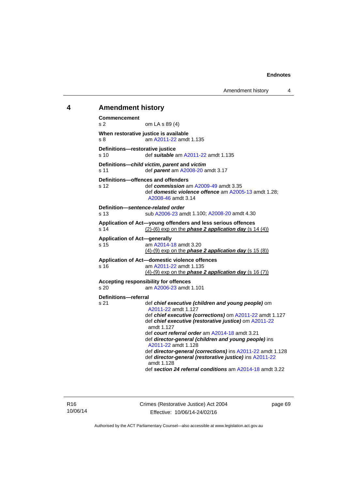Amendment history 4

## **4 Amendment history**

**Commencement**  s 2 om LA s 89 (4) **When restorative justice is available**  s 8 am [A2011-22](http://www.legislation.act.gov.au/a/2011-22) amdt 1.135 **Definitions—restorative justice**  s 10 def *suitable* am [A2011-22](http://www.legislation.act.gov.au/a/2011-22) amdt 1.135 **Definitions—***child victim***,** *parent* **and** *victim* s 11 def *parent* am [A2008-20](http://www.legislation.act.gov.au/a/2008-20) amdt 3.17 **Definitions—offences and offenders**  s 12 def *commission* am [A2009-49](http://www.legislation.act.gov.au/a/2009-49) amdt 3.35 def *domestic violence offence* am [A2005-13](http://www.legislation.act.gov.au/a/2005-13) amdt 1.28; [A2008-46](http://www.legislation.act.gov.au/a/2008-46) amdt 3.14 **Definition—***sentence-related order*  s 13 sub [A2006-23](http://www.legislation.act.gov.au/a/2006-23) amdt 1.100; [A2008-20](http://www.legislation.act.gov.au/a/2008-20) amdt 4.30 **Application of Act—young offenders and less serious offences**  s 14 (2)-(6) exp on the *phase 2 application day* (s 14 (4)) **Application of Act—generally**  s 15 am [A2014-18](http://www.legislation.act.gov.au/a/2014-18) amdt 3.20 (4)-(9) exp on the *phase 2 application day* (s 15 (8)) **Application of Act—domestic violence offences**  s 16 am [A2011-22](http://www.legislation.act.gov.au/a/2011-22) amdt 1.135 (4)-(9) exp on the *phase 2 application day* (s 16 (7)) **Accepting responsibility for offences**  s 20 am [A2006-23](http://www.legislation.act.gov.au/a/2006-23) amdt 1.101 **Definitions—referral**  s 21 def *chief executive (children and young people)* om [A2011-22](http://www.legislation.act.gov.au/a/2011-22) amdt 1.127 def *chief executive (corrections)* om [A2011-22](http://www.legislation.act.gov.au/a/2011-22) amdt 1.127 def *chief executive (restorative justice)* om [A2011-22](http://www.legislation.act.gov.au/a/2011-22) amdt 1.127 def *court referral order* am [A2014-18](http://www.legislation.act.gov.au/a/2014-18) amdt 3.21 def *director-general (children and young people)* ins [A2011-22](http://www.legislation.act.gov.au/a/2011-22) amdt 1.128 def *director-general (corrections)* ins [A2011-22](http://www.legislation.act.gov.au/a/2011-22) amdt 1.128 def *director-general (restorative justice)* ins [A2011-22](http://www.legislation.act.gov.au/a/2011-22) amdt 1.128 def *section 24 referral conditions* am [A2014-18](http://www.legislation.act.gov.au/a/2014-18) amdt 3.22

Crimes (Restorative Justice) Act 2004 Effective: 10/06/14-24/02/16

page 69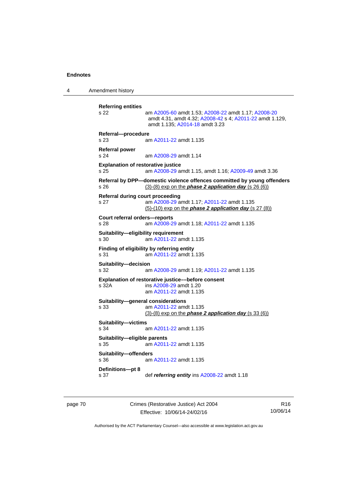4 Amendment history

```
Referring entities 
s 22 am A2005-60 amdt 1.53; A2008-22 amdt 1.17; A2008-20
                 amdt 4.31, amdt 4.32; A2008-42 s 4; A2011-22 amdt 1.129, 
                 amdt 1.135; A2014-18 amdt 3.23 
Referral—procedure 
s 23 am A2011-22 amdt 1.135
Referral power 
s 24 am A2008-29 amdt 1.14
Explanation of restorative justice 
s 25 am A2008-29 amdt 1.15, amdt 1.16; A2009-49 amdt 3.36 
Referral by DPP—domestic violence offences committed by young offenders 
s 26 (3)-(8) exp on the phase 2 application day (s 26 (6))
Referral during court proceeding 
s 27 am A2008-29 amdt 1.17; A2011-22 amdt 1.135 
                (5)-(10) exp on the phase 2 application day (s 27 (8))
Court referral orders—reports 
s 28 am A2008-29 amdt 1.18; A2011-22 amdt 1.135 
Suitability—eligibility requirement 
s 30 am A2011-22 amdt 1.135
Finding of eligibility by referring entity 
s 31 am A2011-22 amdt 1.135
Suitability—decision 
s 32 am A2008-29 amdt 1.19; A2011-22 amdt 1.135 
Explanation of restorative justice––before consent 
s 32A ins A2008-29 amdt 1.20 
                 am A2011-22 amdt 1.135
Suitability—general considerations 
s 33 am A2011-22 amdt 1.135
                (3)-(8) exp on the phase 2 application day (s 33 (6))
Suitability—victims 
s 34 am A2011-22 amdt 1.135
Suitability—eligible parents 
s 35 am A2011-22 amdt 1.135
Suitability—offenders 
s 36 am A2011-22 amdt 1.135
Definitions—pt 8 
s 37 def referring entity ins A2008-22 amdt 1.18
```
page 70 Crimes (Restorative Justice) Act 2004 Effective: 10/06/14-24/02/16

R16 10/06/14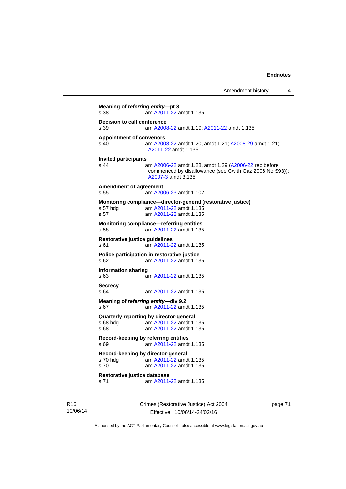Amendment history 4

**Meaning of** *referring entity***—pt 8**  s 38 am [A2011-22](http://www.legislation.act.gov.au/a/2011-22) amdt 1.135 **Decision to call conference**<br>s 39 am A2008 s 39 am [A2008-22](http://www.legislation.act.gov.au/a/2008-22) amdt 1.19; [A2011-22](http://www.legislation.act.gov.au/a/2011-22) amdt 1.135 **Appointment of convenors**  s 40 am [A2008-22](http://www.legislation.act.gov.au/a/2008-22) amdt 1.20, amdt 1.21; [A2008-29](http://www.legislation.act.gov.au/a/2008-29) amdt 1.21; [A2011-22](http://www.legislation.act.gov.au/a/2011-22) amdt 1.135 **Invited participants**  am [A2006-22](http://www.legislation.act.gov.au/a/2006-22) amdt 1.28, amdt 1.29 [\(A2006-22](http://www.legislation.act.gov.au/a/2006-22) rep before commenced by disallowance (see Cwlth Gaz 2006 No S93)); [A2007-3](http://www.legislation.act.gov.au/a/2007-3) amdt 3.135 **Amendment of agreement**  s 55 am [A2006-23](http://www.legislation.act.gov.au/a/2006-23) amdt 1.102 **Monitoring compliance—director-general (restorative justice)**  s 57 hdg am [A2011-22](http://www.legislation.act.gov.au/a/2011-22) amdt 1.135 s 57 am [A2011-22](http://www.legislation.act.gov.au/a/2011-22) amdt 1.135 **Monitoring compliance—referring entities**  s 58 am [A2011-22](http://www.legislation.act.gov.au/a/2011-22) amdt 1.135 **Restorative justice guidelines**  s 61 am [A2011-22](http://www.legislation.act.gov.au/a/2011-22) amdt 1.135 **Police participation in restorative justice**  s 62 am [A2011-22](http://www.legislation.act.gov.au/a/2011-22) amdt 1.135 **Information sharing**  s 63 am [A2011-22](http://www.legislation.act.gov.au/a/2011-22) amdt 1.135 **Secrecy**  s 64 am [A2011-22](http://www.legislation.act.gov.au/a/2011-22) amdt 1.135 **Meaning of** *referring entity—***div 9.2**  s 67 am [A2011-22](http://www.legislation.act.gov.au/a/2011-22) amdt 1.135 **Quarterly reporting by director-general**  s 68 hdg am [A2011-22](http://www.legislation.act.gov.au/a/2011-22) amdt 1.135 s 68 **am [A2011-22](http://www.legislation.act.gov.au/a/2011-22) amdt 1.135 Record-keeping by referring entities**  s 69 am [A2011-22](http://www.legislation.act.gov.au/a/2011-22) amdt 1.135 **Record-keeping by director-general**  s 70 hdg am [A2011-22](http://www.legislation.act.gov.au/a/2011-22) amdt 1.135<br>s 70 am A2011-22 amdt 1.135 am [A2011-22](http://www.legislation.act.gov.au/a/2011-22) amdt 1.135 **Restorative justice database**  s 71 am [A2011-22](http://www.legislation.act.gov.au/a/2011-22) amdt 1.135

R16 10/06/14 Crimes (Restorative Justice) Act 2004 Effective: 10/06/14-24/02/16

page 71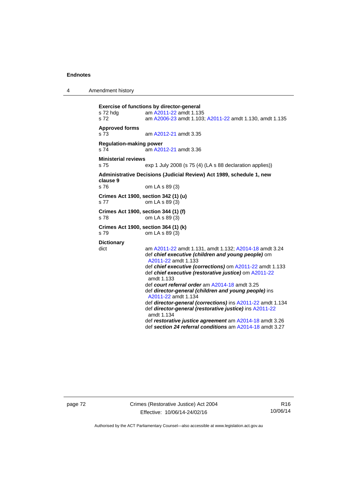4 Amendment history

```
Exercise of functions by director-general 
s 72 hdg am A2011-22 amdt 1.135
s 72 am A2006-23 amdt 1.103; A2011-22 amdt 1.130, amdt 1.135 
Approved forms 
s 73 am A2012-21 amdt 3.35
Regulation-making power 
s 74 am A2012-21 amdt 3.36
Ministerial reviews 
s 75 exp 1 July 2008 (s 75 (4) (LA s 88 declaration applies)) 
Administrative Decisions (Judicial Review) Act 1989, schedule 1, new 
clause 9 
                 om LA s 89 (3)
Crimes Act 1900, section 342 (1) (u) 
s 77 om LA s 89 (3) 
Crimes Act 1900, section 344 (1) (f) 
s 78 om LA s 89 (3) 
Crimes Act 1900, section 364 (1) (k) 
s 79 om LA s 89 (3) 
Dictionary 
dict am A2011-22 amdt 1.131, amdt 1.132; A2014-18 amdt 3.24 
                  def chief executive (children and young people) om 
                  A2011-22 amdt 1.133 
                  def chief executive (corrections) om A2011-22 amdt 1.133 
                  def chief executive (restorative justice) om A2011-22
                  amdt 1.133
                  def court referral order am A2014-18 amdt 3.25 
                  def director-general (children and young people) ins 
                  A2011-22 amdt 1.134 
                  def director-general (corrections) ins A2011-22 amdt 1.134 
                  def director-general (restorative justice) ins A2011-22
                  amdt 1.134
                  def restorative justice agreement am A2014-18 amdt 3.26 
                  def section 24 referral conditions am A2014-18 amdt 3.27
```
page 72 Crimes (Restorative Justice) Act 2004 Effective: 10/06/14-24/02/16

R16 10/06/14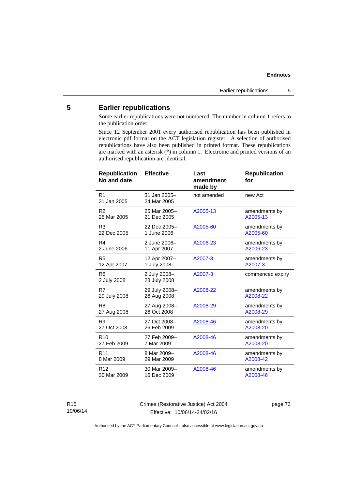## **5 Earlier republications**

Some earlier republications were not numbered. The number in column 1 refers to the publication order.

Since 12 September 2001 every authorised republication has been published in electronic pdf format on the ACT legislation register. A selection of authorised republications have also been published in printed format. These republications are marked with an asterisk (\*) in column 1. Electronic and printed versions of an authorised republication are identical.

| <b>Republication</b><br>No and date | <b>Effective</b>             | Last<br>amendment<br>made by | <b>Republication</b><br>for |
|-------------------------------------|------------------------------|------------------------------|-----------------------------|
| R <sub>1</sub><br>31 Jan 2005       | 31 Jan 2005-<br>24 Mar 2005  | not amended                  | new Act                     |
| R <sub>2</sub>                      | 25 Mar 2005-                 | A2005-13                     | amendments by               |
| 25 Mar 2005                         | 21 Dec 2005                  |                              | A2005-13                    |
| R <sub>3</sub>                      | 22 Dec 2005-                 | A2005-60                     | amendments by               |
| 22 Dec 2005                         | 1 June 2006                  |                              | A2005-60                    |
| R <sub>4</sub>                      | 2 June 2006-                 | A2006-23                     | amendments by               |
| 2 June 2006                         | 11 Apr 2007                  |                              | A2006-23                    |
| R <sub>5</sub>                      | 12 Apr 2007-                 | A2007-3                      | amendments by               |
| 12 Apr 2007                         | 1 July 2008                  |                              | A2007-3                     |
| R <sub>6</sub><br>2 July 2008       | 2 July 2008-<br>28 July 2008 | A2007-3                      | commenced expiry            |
| R7                                  | 29 July 2008-                | A2008-22                     | amendments by               |
| 29 July 2008                        | 26 Aug 2008                  |                              | A2008-22                    |
| R <sub>8</sub>                      | 27 Aug 2008-                 | A2008-29                     | amendments by               |
| 27 Aug 2008                         | 26 Oct 2008                  |                              | A2008-29                    |
| R <sub>9</sub>                      | 27 Oct 2008-                 | A2008-46                     | amendments by               |
| 27 Oct 2008                         | 26 Feb 2009                  |                              | A2008-20                    |
| R <sub>10</sub>                     | 27 Feb 2009-                 | A2008-46                     | amendments by               |
| 27 Feb 2009                         | 7 Mar 2009                   |                              | A2008-20                    |
| R <sub>11</sub>                     | 8 Mar 2009-                  | A2008-46                     | amendments by               |
| 8 Mar 2009                          | 29 Mar 2009                  |                              | A2008-42                    |
| R <sub>12</sub>                     | 30 Mar 2009-                 | A2008-46                     | amendments by               |
| 30 Mar 2009                         | 16 Dec 2009                  |                              | A2008-46                    |
|                                     |                              |                              |                             |

R16 10/06/14 Crimes (Restorative Justice) Act 2004 Effective: 10/06/14-24/02/16

page 73